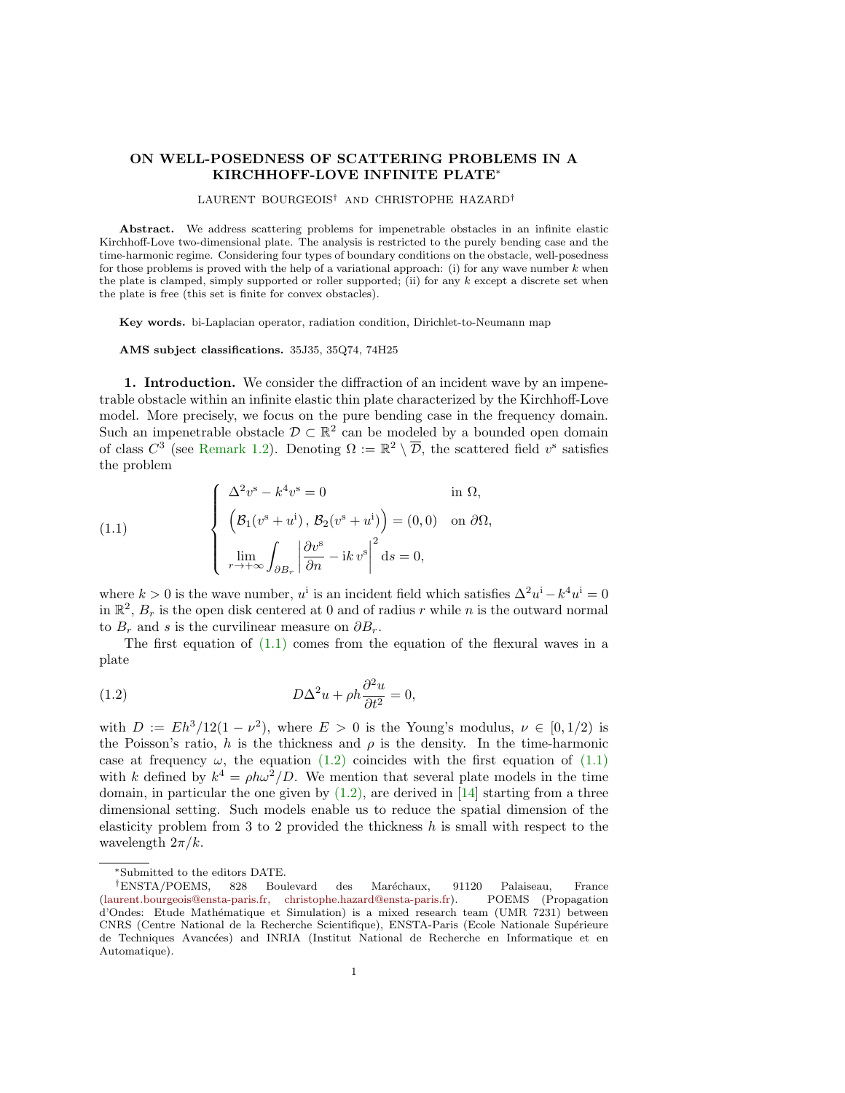## ON WELL-POSEDNESS OF SCATTERING PROBLEMS IN A KIRCHHOFF-LOVE INFINITE PLATE<sup>∗</sup>

## LAURENT BOURGEOIS† AND CHRISTOPHE HAZARD†

Abstract. We address scattering problems for impenetrable obstacles in an infinite elastic Kirchhoff-Love two-dimensional plate. The analysis is restricted to the purely bending case and the time-harmonic regime. Considering four types of boundary conditions on the obstacle, well-posedness for those problems is proved with the help of a variational approach: (i) for any wave number  $k$  when the plate is clamped, simply supported or roller supported; (ii) for any  $k$  except a discrete set when the plate is free (this set is finite for convex obstacles).

Key words. bi-Laplacian operator, radiation condition, Dirichlet-to-Neumann map

AMS subject classifications. 35J35, 35Q74, 74H25

1. Introduction. We consider the diffraction of an incident wave by an impenetrable obstacle within an infinite elastic thin plate characterized by the Kirchhoff-Love model. More precisely, we focus on the pure bending case in the frequency domain. Such an impenetrable obstacle  $\mathcal{D} \subset \mathbb{R}^2$  can be modeled by a bounded open domain of class  $C^3$  (see [Remark 1.2\)](#page-2-0). Denoting  $\Omega := \mathbb{R}^2 \setminus \overline{\mathcal{D}}$ , the scattered field  $v^s$  satisfies the problem

<span id="page-0-0"></span>(1.1) 
$$
\begin{cases} \Delta^2 v^s - k^4 v^s = 0 & \text{in } \Omega, \\ (B_1(v^s + u^i), B_2(v^s + u^i)) = (0, 0) & \text{on } \partial\Omega, \\ \lim_{r \to +\infty} \int_{\partial B_r} \left| \frac{\partial v^s}{\partial n} - ik \, v^s \right|^2 ds = 0, \end{cases}
$$

where  $k > 0$  is the wave number,  $u^i$  is an incident field which satisfies  $\Delta^2 u^i - k^4 u^i = 0$ in  $\mathbb{R}^2$ ,  $B_r$  is the open disk centered at 0 and of radius r while n is the outward normal to  $B_r$  and s is the curvilinear measure on  $\partial B_r$ .

The first equation of  $(1.1)$  comes from the equation of the flexural waves in a plate

<span id="page-0-1"></span>(1.2) 
$$
D\Delta^2 u + \rho h \frac{\partial^2 u}{\partial t^2} = 0,
$$

with  $D := Eh^3/12(1-\nu^2)$ , where  $E > 0$  is the Young's modulus,  $\nu \in [0,1/2)$  is the Poisson's ratio, h is the thickness and  $\rho$  is the density. In the time-harmonic case at frequency  $\omega$ , the equation [\(1.2\)](#page-0-1) coincides with the first equation of [\(1.1\)](#page-0-0) with k defined by  $k^4 = \rho h \omega^2 / D$ . We mention that several plate models in the time domain, in particular the one given by  $(1.2)$ , are derived in [\[14\]](#page-20-0) starting from a three dimensional setting. Such models enable us to reduce the spatial dimension of the elasticity problem from 3 to 2 provided the thickness  $h$  is small with respect to the wavelength  $2\pi/k$ .

<sup>∗</sup>Submitted to the editors DATE.

<sup>†</sup>ENSTA/POEMS, 828 Boulevard des Mar´echaux, 91120 Palaiseau, France [\(laurent.bourgeois@ensta-paris.fr, christophe.hazard@ensta-paris.fr\)](mailto:laurent.bourgeois@ensta-paris.fr, christophe.hazard@ensta-paris.fr). d'Ondes: Etude Mathématique et Simulation) is a mixed research team (UMR 7231) between CNRS (Centre National de la Recherche Scientifique), ENSTA-Paris (Ecole Nationale Supérieure de Techniques Avancées) and INRIA (Institut National de Recherche en Informatique et en Automatique).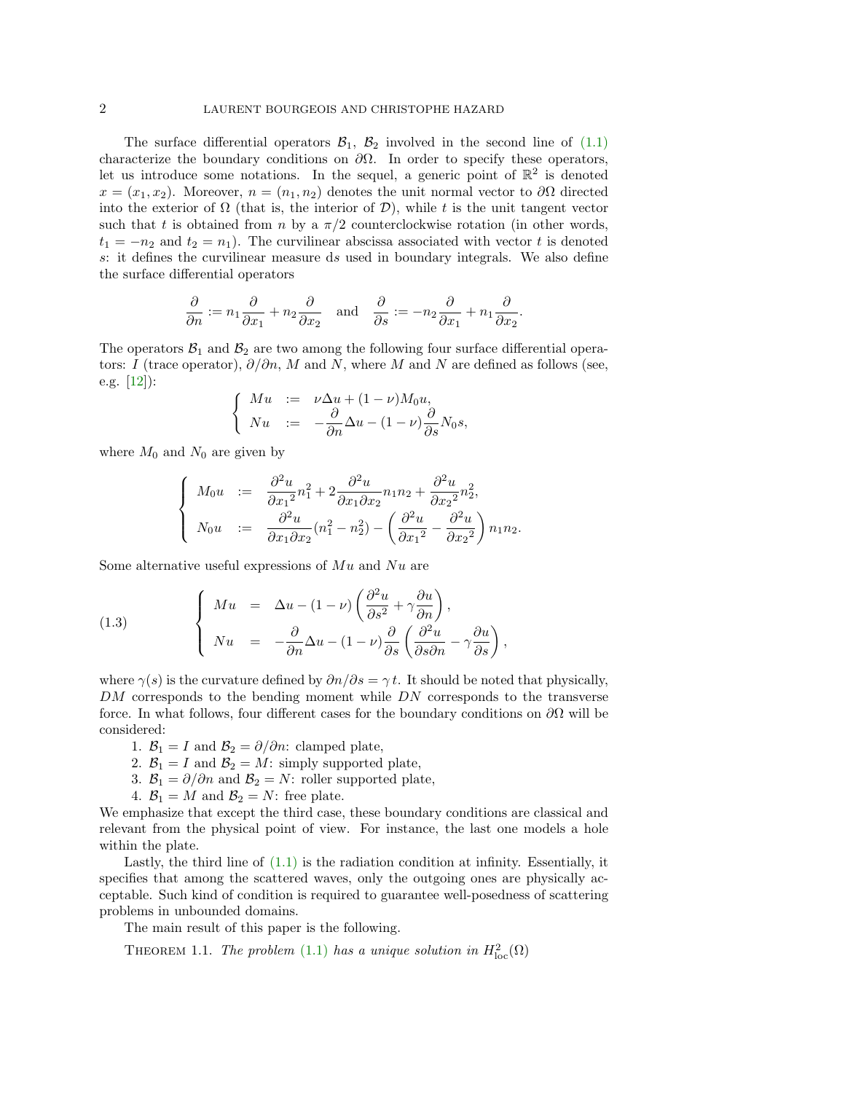The surface differential operators  $\mathcal{B}_1$ ,  $\mathcal{B}_2$  involved in the second line of [\(1.1\)](#page-0-0) characterize the boundary conditions on  $\partial\Omega$ . In order to specify these operators, let us introduce some notations. In the sequel, a generic point of  $\mathbb{R}^2$  is denoted  $x = (x_1, x_2)$ . Moreover,  $n = (n_1, n_2)$  denotes the unit normal vector to  $\partial\Omega$  directed into the exterior of  $\Omega$  (that is, the interior of  $\mathcal{D}$ ), while t is the unit tangent vector such that t is obtained from n by a  $\pi/2$  counterclockwise rotation (in other words,  $t_1 = -n_2$  and  $t_2 = n_1$ ). The curvilinear abscissa associated with vector t is denoted s: it defines the curvilinear measure ds used in boundary integrals. We also define the surface differential operators

$$
\frac{\partial}{\partial n} := n_1 \frac{\partial}{\partial x_1} + n_2 \frac{\partial}{\partial x_2} \quad \text{and} \quad \frac{\partial}{\partial s} := -n_2 \frac{\partial}{\partial x_1} + n_1 \frac{\partial}{\partial x_2}.
$$

The operators  $\mathcal{B}_1$  and  $\mathcal{B}_2$  are two among the following four surface differential operators: I (trace operator),  $\partial/\partial n$ , M and N, where M and N are defined as follows (see, e.g. [\[12\]](#page-19-0)):

$$
\begin{cases}\nMu := \nu \Delta u + (1 - \nu) M_0 u, \\
Nu := -\frac{\partial}{\partial n} \Delta u - (1 - \nu) \frac{\partial}{\partial s} N_0 s,\n\end{cases}
$$

where  $M_0$  and  $N_0$  are given by

$$
\begin{cases}\nM_0 u &:= \frac{\partial^2 u}{\partial x_1^2} n_1^2 + 2 \frac{\partial^2 u}{\partial x_1 \partial x_2} n_1 n_2 + \frac{\partial^2 u}{\partial x_2^2} n_2^2, \\
N_0 u &:= \frac{\partial^2 u}{\partial x_1 \partial x_2} (n_1^2 - n_2^2) - \left(\frac{\partial^2 u}{\partial x_1^2} - \frac{\partial^2 u}{\partial x_2^2}\right) n_1 n_2.\n\end{cases}
$$

Some alternative useful expressions of  $Mu$  and  $Nu$  are

<span id="page-1-1"></span>(1.3) 
$$
\begin{cases} Mu = \Delta u - (1 - \nu) \left( \frac{\partial^2 u}{\partial s^2} + \gamma \frac{\partial u}{\partial n} \right), \\ Nu = -\frac{\partial}{\partial n} \Delta u - (1 - \nu) \frac{\partial}{\partial s} \left( \frac{\partial^2 u}{\partial s \partial n} - \gamma \frac{\partial u}{\partial s} \right), \end{cases}
$$

where  $\gamma(s)$  is the curvature defined by  $\partial n/\partial s = \gamma t$ . It should be noted that physically, DM corresponds to the bending moment while DN corresponds to the transverse force. In what follows, four different cases for the boundary conditions on  $\partial\Omega$  will be considered:

- 1.  $\mathcal{B}_1 = I$  and  $\mathcal{B}_2 = \partial/\partial n$ : clamped plate,
- 2.  $B_1 = I$  and  $B_2 = M$ : simply supported plate,
- 3.  $B_1 = \partial/\partial n$  and  $B_2 = N$ : roller supported plate,
- 4.  $\mathcal{B}_1 = M$  and  $\mathcal{B}_2 = N$ : free plate.

We emphasize that except the third case, these boundary conditions are classical and relevant from the physical point of view. For instance, the last one models a hole within the plate.

Lastly, the third line of  $(1.1)$  is the radiation condition at infinity. Essentially, it specifies that among the scattered waves, only the outgoing ones are physically acceptable. Such kind of condition is required to guarantee well-posedness of scattering problems in unbounded domains.

The main result of this paper is the following.

<span id="page-1-0"></span>THEOREM 1.1. The problem [\(1.1\)](#page-0-0) has a unique solution in  $H^2_{\text{loc}}(\Omega)$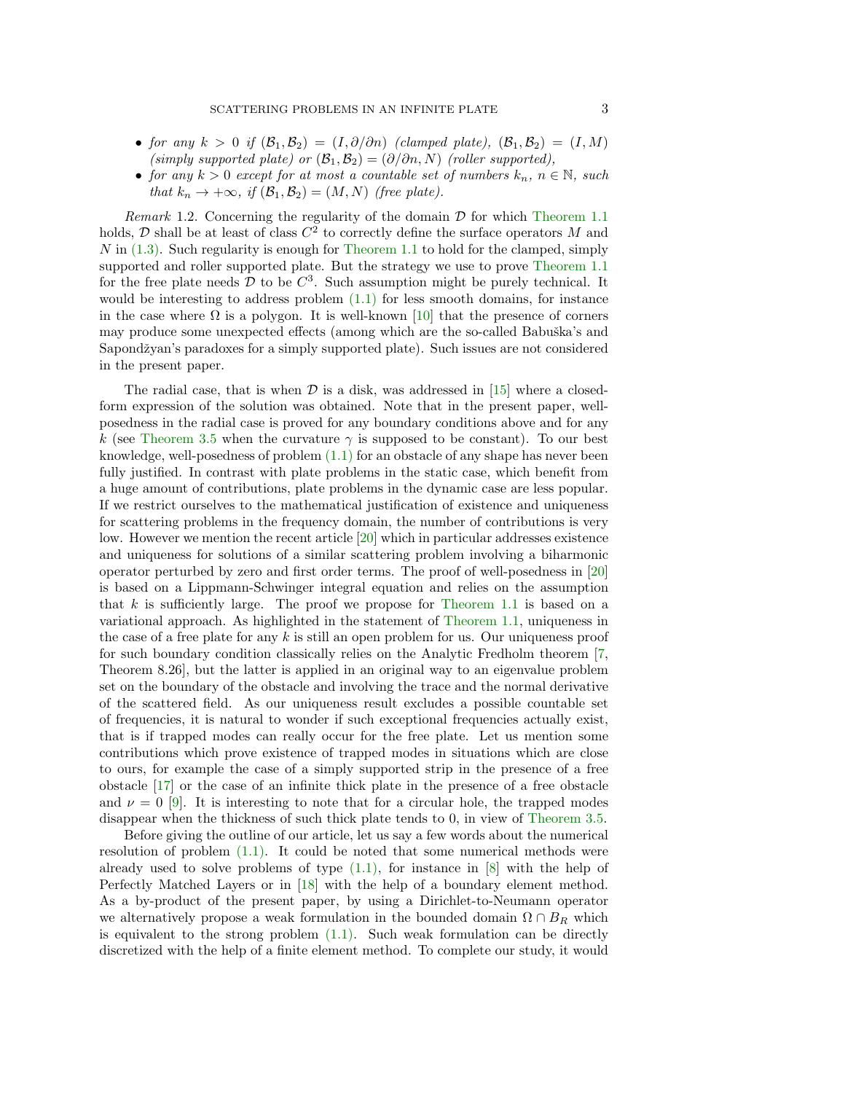- for any  $k > 0$  if  $(\mathcal{B}_1, \mathcal{B}_2) = (I, \partial/\partial n)$  (clamped plate),  $(\mathcal{B}_1, \mathcal{B}_2) = (I, M)$ (simply supported plate) or  $(\mathcal{B}_1, \mathcal{B}_2) = (\partial/\partial n, N)$  (roller supported),
- for any  $k > 0$  except for at most a countable set of numbers  $k_n$ ,  $n \in \mathbb{N}$ , such that  $k_n \to +\infty$ , if  $(\mathcal{B}_1, \mathcal{B}_2) = (M, N)$  (free plate).

<span id="page-2-0"></span>Remark 1.2. Concerning the regularity of the domain  $\mathcal D$  for which [Theorem 1.1](#page-1-0) holds,  $D$  shall be at least of class  $C^2$  to correctly define the surface operators M and  $N$  in  $(1.3)$ . Such regularity is enough for [Theorem 1.1](#page-1-0) to hold for the clamped, simply supported and roller supported plate. But the strategy we use to prove [Theorem 1.1](#page-1-0) for the free plate needs  $\mathcal{D}$  to be  $C^3$ . Such assumption might be purely technical. It would be interesting to address problem  $(1.1)$  for less smooth domains, for instance in the case where  $\Omega$  is a polygon. It is well-known [\[10\]](#page-19-1) that the presence of corners may produce some unexpected effects (among which are the so-called Babuška's and Sapondžyan's paradoxes for a simply supported plate). Such issues are not considered in the present paper.

The radial case, that is when  $\mathcal D$  is a disk, was addressed in [\[15\]](#page-20-1) where a closedform expression of the solution was obtained. Note that in the present paper, wellposedness in the radial case is proved for any boundary conditions above and for any k (see [Theorem 3.5](#page-12-0) when the curvature  $\gamma$  is supposed to be constant). To our best knowledge, well-posedness of problem [\(1.1\)](#page-0-0) for an obstacle of any shape has never been fully justified. In contrast with plate problems in the static case, which benefit from a huge amount of contributions, plate problems in the dynamic case are less popular. If we restrict ourselves to the mathematical justification of existence and uniqueness for scattering problems in the frequency domain, the number of contributions is very low. However we mention the recent article [\[20\]](#page-20-2) which in particular addresses existence and uniqueness for solutions of a similar scattering problem involving a biharmonic operator perturbed by zero and first order terms. The proof of well-posedness in [\[20\]](#page-20-2) is based on a Lippmann-Schwinger integral equation and relies on the assumption that k is sufficiently large. The proof we propose for [Theorem 1.1](#page-1-0) is based on a variational approach. As highlighted in the statement of [Theorem 1.1,](#page-1-0) uniqueness in the case of a free plate for any  $k$  is still an open problem for us. Our uniqueness proof for such boundary condition classically relies on the Analytic Fredholm theorem [\[7,](#page-19-2) Theorem 8.26], but the latter is applied in an original way to an eigenvalue problem set on the boundary of the obstacle and involving the trace and the normal derivative of the scattered field. As our uniqueness result excludes a possible countable set of frequencies, it is natural to wonder if such exceptional frequencies actually exist, that is if trapped modes can really occur for the free plate. Let us mention some contributions which prove existence of trapped modes in situations which are close to ours, for example the case of a simply supported strip in the presence of a free obstacle [\[17\]](#page-20-3) or the case of an infinite thick plate in the presence of a free obstacle and  $\nu = 0$  [\[9\]](#page-19-3). It is interesting to note that for a circular hole, the trapped modes disappear when the thickness of such thick plate tends to 0, in view of [Theorem 3.5.](#page-12-0)

Before giving the outline of our article, let us say a few words about the numerical resolution of problem [\(1.1\).](#page-0-0) It could be noted that some numerical methods were already used to solve problems of type  $(1.1)$ , for instance in  $[8]$  with the help of Perfectly Matched Layers or in [\[18\]](#page-20-4) with the help of a boundary element method. As a by-product of the present paper, by using a Dirichlet-to-Neumann operator we alternatively propose a weak formulation in the bounded domain  $\Omega \cap B_R$  which is equivalent to the strong problem  $(1.1)$ . Such weak formulation can be directly discretized with the help of a finite element method. To complete our study, it would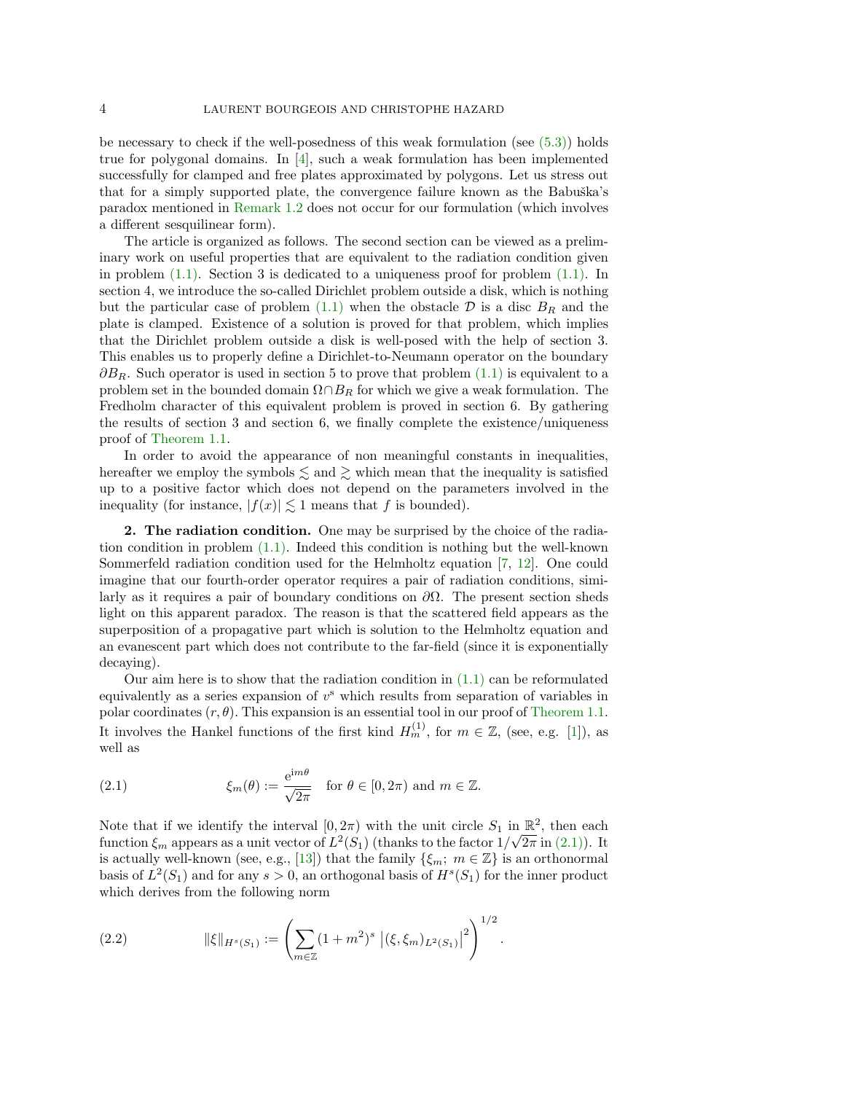be necessary to check if the well-posedness of this weak formulation (see  $(5.3)$ ) holds true for polygonal domains. In [\[4\]](#page-19-5), such a weak formulation has been implemented successfully for clamped and free plates approximated by polygons. Let us stress out that for a simply supported plate, the convergence failure known as the Babuška's paradox mentioned in [Remark 1.2](#page-2-0) does not occur for our formulation (which involves a different sesquilinear form).

The article is organized as follows. The second section can be viewed as a preliminary work on useful properties that are equivalent to the radiation condition given in problem [\(1.1\).](#page-0-0) Section 3 is dedicated to a uniqueness proof for problem [\(1.1\).](#page-0-0) In section 4, we introduce the so-called Dirichlet problem outside a disk, which is nothing but the particular case of problem [\(1.1\)](#page-0-0) when the obstacle  $\mathcal D$  is a disc  $B_R$  and the plate is clamped. Existence of a solution is proved for that problem, which implies that the Dirichlet problem outside a disk is well-posed with the help of section 3. This enables us to properly define a Dirichlet-to-Neumann operator on the boundary  $\partial B_R$ . Such operator is used in section 5 to prove that problem  $(1.1)$  is equivalent to a problem set in the bounded domain  $\Omega \cap B_R$  for which we give a weak formulation. The Fredholm character of this equivalent problem is proved in section 6. By gathering the results of section 3 and section 6, we finally complete the existence/uniqueness proof of [Theorem 1.1.](#page-1-0)

In order to avoid the appearance of non meaningful constants in inequalities, hereafter we employ the symbols  $\lesssim$  and  $\gtrsim$  which mean that the inequality is satisfied up to a positive factor which does not depend on the parameters involved in the inequality (for instance,  $|f(x)| \lesssim 1$  means that f is bounded).

2. The radiation condition. One may be surprised by the choice of the radiation condition in problem [\(1.1\).](#page-0-0) Indeed this condition is nothing but the well-known Sommerfeld radiation condition used for the Helmholtz equation [\[7,](#page-19-2) [12\]](#page-19-0). One could imagine that our fourth-order operator requires a pair of radiation conditions, similarly as it requires a pair of boundary conditions on  $\partial\Omega$ . The present section sheds light on this apparent paradox. The reason is that the scattered field appears as the superposition of a propagative part which is solution to the Helmholtz equation and an evanescent part which does not contribute to the far-field (since it is exponentially decaying).

Our aim here is to show that the radiation condition in  $(1.1)$  can be reformulated equivalently as a series expansion of  $v^s$  which results from separation of variables in polar coordinates  $(r, \theta)$ . This expansion is an essential tool in our proof of [Theorem 1.1.](#page-1-0) It involves the Hankel functions of the first kind  $H_m^{(1)}$ , for  $m \in \mathbb{Z}$ , (see, e.g. [\[1\]](#page-19-6)), as well as

<span id="page-3-0"></span>(2.1) 
$$
\xi_m(\theta) := \frac{e^{im\theta}}{\sqrt{2\pi}} \quad \text{for } \theta \in [0, 2\pi) \text{ and } m \in \mathbb{Z}.
$$

Note that if we identify the interval  $[0, 2\pi)$  with the unit circle  $S_1$  in  $\mathbb{R}^2$ , then each function  $\xi_m$  appears as a unit vector of  $L^2(S_1)$  (thanks to the factor  $1/\sqrt{2\pi}$  in [\(2.1\)\)](#page-3-0). It is actually well-known (see, e.g., [\[13\]](#page-20-5)) that the family  $\{\xi_m; m \in \mathbb{Z}\}\$ is an orthonormal basis of  $L^2(S_1)$  and for any  $s > 0$ , an orthogonal basis of  $H^s(S_1)$  for the inner product which derives from the following norm

<span id="page-3-1"></span>(2.2) 
$$
\|\xi\|_{H^s(S_1)} := \left(\sum_{m\in\mathbb{Z}} (1+m^2)^s \left|(\xi,\xi_m)_{L^2(S_1)}\right|^2\right)^{1/2}.
$$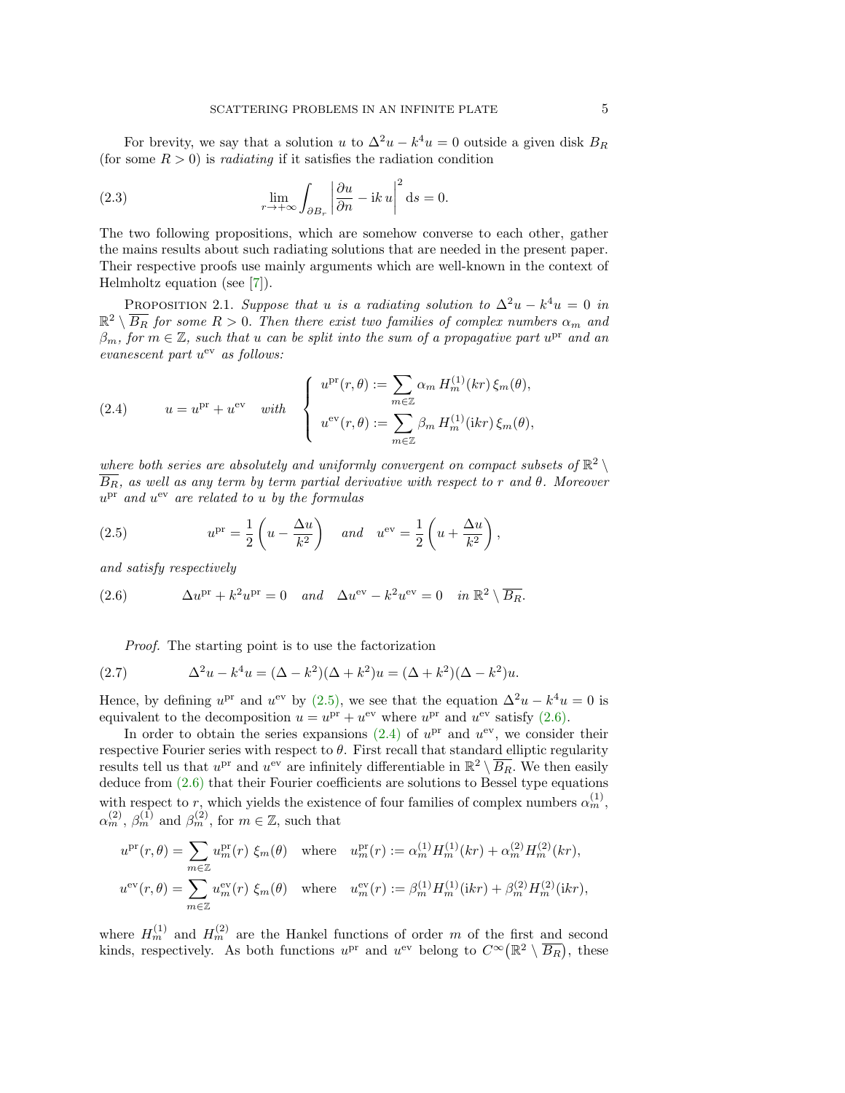For brevity, we say that a solution u to  $\Delta^2 u - k^4 u = 0$  outside a given disk  $B_R$ (for some  $R > 0$ ) is *radiating* if it satisfies the radiation condition

<span id="page-4-4"></span>(2.3) 
$$
\lim_{r \to +\infty} \int_{\partial B_r} \left| \frac{\partial u}{\partial n} - ik \, u \right|^2 ds = 0.
$$

The two following propositions, which are somehow converse to each other, gather the mains results about such radiating solutions that are needed in the present paper. Their respective proofs use mainly arguments which are well-known in the context of Helmholtz equation (see [\[7\]](#page-19-2)).

PROPOSITION 2.1. Suppose that u is a radiating solution to  $\Delta^2 u - k^4 u = 0$  in  $\mathbb{R}^2\setminus\overline{B_R}$  for some  $R>0.$  Then there exist two families of complex numbers  $\alpha_m$  and  $\beta_m$ , for  $m \in \mathbb{Z}$ , such that u can be split into the sum of a propagative part  $u^{\text{pr}}$  and an evanescent part  $u^{ev}$  as follows:

<span id="page-4-2"></span>(2.4) 
$$
u = u^{\text{pr}} + u^{\text{ev}} \quad \text{with} \quad \begin{cases} u^{\text{pr}}(r,\theta) := \sum_{m \in \mathbb{Z}} \alpha_m H_m^{(1)}(kr) \xi_m(\theta), \\ u^{\text{ev}}(r,\theta) := \sum_{m \in \mathbb{Z}} \beta_m H_m^{(1)}(ikr) \xi_m(\theta), \end{cases}
$$

where both series are absolutely and uniformly convergent on compact subsets of  $\mathbb{R}^2 \setminus$  $\overline{B_R}$ , as well as any term by term partial derivative with respect to r and  $\theta$ . Moreover  $u<sup>pr</sup>$  and  $u<sup>ev</sup>$  are related to u by the formulas

<span id="page-4-0"></span>(2.5) 
$$
u^{\text{pr}} = \frac{1}{2} \left( u - \frac{\Delta u}{k^2} \right) \quad \text{and} \quad u^{\text{ev}} = \frac{1}{2} \left( u + \frac{\Delta u}{k^2} \right),
$$

and satisfy respectively

(2.6) 
$$
\Delta u^{\text{pr}} + k^2 u^{\text{pr}} = 0 \quad and \quad \Delta u^{\text{ev}} - k^2 u^{\text{ev}} = 0 \quad in \ \mathbb{R}^2 \setminus \overline{B_R}.
$$

<span id="page-4-3"></span><span id="page-4-1"></span>Proof. The starting point is to use the factorization

(2.7) 
$$
\Delta^2 u - k^4 u = (\Delta - k^2)(\Delta + k^2)u = (\Delta + k^2)(\Delta - k^2)u.
$$

Hence, by defining  $u^{pr}$  and  $u^{ev}$  by [\(2.5\),](#page-4-0) we see that the equation  $\Delta^2 u - k^4 u = 0$  is equivalent to the decomposition  $u = u^{\text{pr}} + u^{\text{ev}}$  where  $u^{\text{pr}}$  and  $u^{\text{ev}}$  satisfy [\(2.6\).](#page-4-1)

In order to obtain the series expansions  $(2.4)$  of  $u^{pr}$  and  $u^{ev}$ , we consider their respective Fourier series with respect to  $\theta$ . First recall that standard elliptic regularity results tell us that  $u^{pr}$  and  $u^{ev}$  are infinitely differentiable in  $\mathbb{R}^2 \setminus \overline{B_R}$ . We then easily deduce from [\(2.6\)](#page-4-1) that their Fourier coefficients are solutions to Bessel type equations with respect to r, which yields the existence of four families of complex numbers  $\alpha_m^{(1)}$ ,  $\alpha_m^{(2)}$ ,  $\beta_m^{(1)}$  and  $\beta_m^{(2)}$ , for  $m \in \mathbb{Z}$ , such that

$$
u^{\text{pr}}(r,\theta) = \sum_{m\in\mathbb{Z}} u_m^{\text{pr}}(r) \xi_m(\theta) \quad \text{where} \quad u_m^{\text{pr}}(r) := \alpha_m^{(1)} H_m^{(1)}(kr) + \alpha_m^{(2)} H_m^{(2)}(kr),
$$
  

$$
u^{\text{ev}}(r,\theta) = \sum_{m\in\mathbb{Z}} u_m^{\text{ev}}(r) \xi_m(\theta) \quad \text{where} \quad u_m^{\text{ev}}(r) := \beta_m^{(1)} H_m^{(1)}(ikr) + \beta_m^{(2)} H_m^{(2)}(ikr),
$$

where  $H_m^{(1)}$  and  $H_m^{(2)}$  are the Hankel functions of order m of the first and second kinds, respectively. As both functions  $u^{\text{pr}}$  and  $u^{\text{ev}}$  belong to  $C^{\infty}(\mathbb{R}^2 \setminus \overline{B_R})$ , these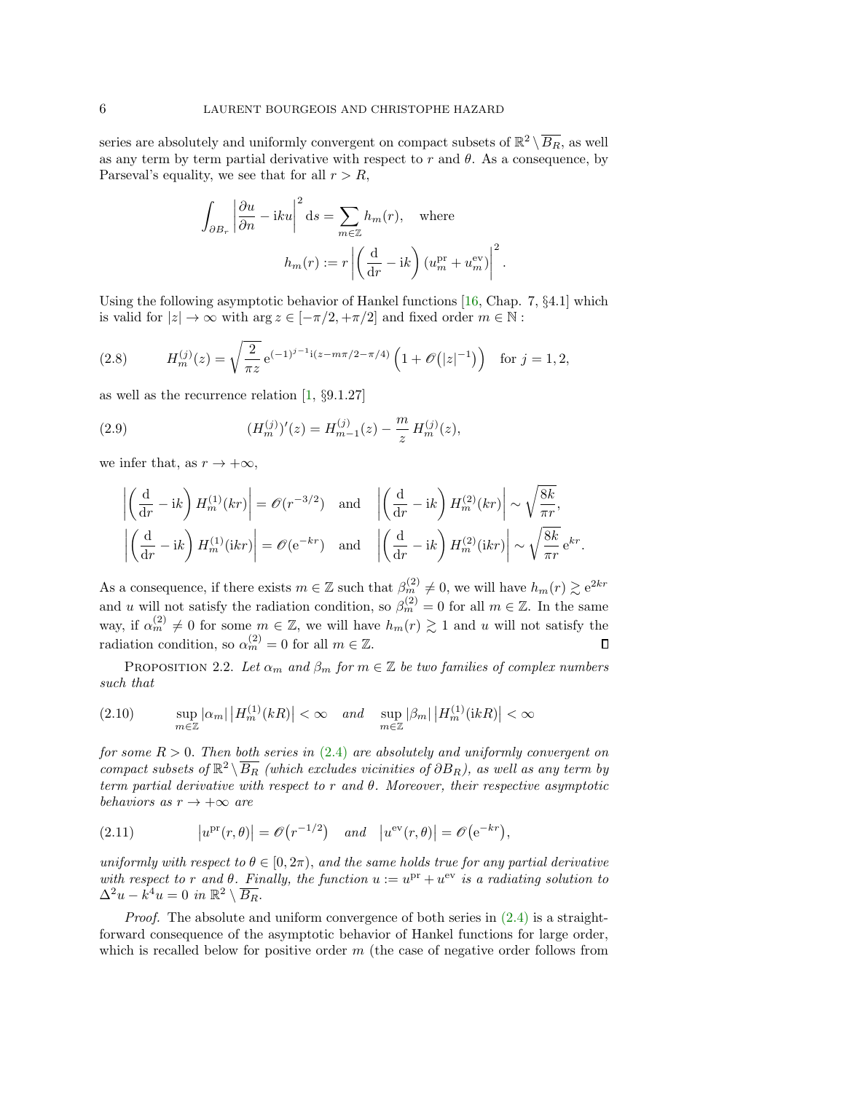series are absolutely and uniformly convergent on compact subsets of  $\mathbb{R}^2 \setminus \overline{B_R}$ , as well as any term by term partial derivative with respect to  $r$  and  $\theta$ . As a consequence, by Parseval's equality, we see that for all  $r > R$ ,

$$
\int_{\partial B_r} \left| \frac{\partial u}{\partial n} - iku \right|^2 ds = \sum_{m \in \mathbb{Z}} h_m(r), \quad \text{where}
$$

$$
h_m(r) := r \left| \left( \frac{d}{dr} - ik \right) (u_m^{\text{pr}} + u_m^{\text{ev}}) \right|^2.
$$

Using the following asymptotic behavior of Hankel functions [\[16,](#page-20-6) Chap. 7, §4.1] which is valid for  $|z| \to \infty$  with  $\arg z \in [-\pi/2, +\pi/2]$  and fixed order  $m \in \mathbb{N}$ :

<span id="page-5-2"></span>(2.8) 
$$
H_m^{(j)}(z) = \sqrt{\frac{2}{\pi z}} e^{(-1)^{j-1} i (z - m\pi/2 - \pi/4)} \left(1 + \mathcal{O}(|z|^{-1})\right) \text{ for } j = 1, 2,
$$

as well as the recurrence relation [\[1,](#page-19-6) §9.1.27]

(2.9) 
$$
(H_m^{(j)})'(z) = H_{m-1}^{(j)}(z) - \frac{m}{z} H_m^{(j)}(z),
$$

we infer that, as  $r \to +\infty$ ,

<span id="page-5-0"></span>
$$
\left| \left( \frac{d}{dr} - ik \right) H_m^{(1)}(kr) \right| = \mathcal{O}(r^{-3/2}) \text{ and } \left| \left( \frac{d}{dr} - ik \right) H_m^{(2)}(kr) \right| \sim \sqrt{\frac{8k}{\pi r}},
$$

$$
\left| \left( \frac{d}{dr} - ik \right) H_m^{(1)}(ikr) \right| = \mathcal{O}(e^{-kr}) \text{ and } \left| \left( \frac{d}{dr} - ik \right) H_m^{(2)}(ikr) \right| \sim \sqrt{\frac{8k}{\pi r}} e^{kr}.
$$

As a consequence, if there exists  $m \in \mathbb{Z}$  such that  $\beta_m^{(2)} \neq 0$ , we will have  $h_m(r) \gtrsim e^{2kr}$ and u will not satisfy the radiation condition, so  $\beta_m^{(2)} = 0$  for all  $m \in \mathbb{Z}$ . In the same way, if  $\alpha_m^{(2)} \neq 0$  for some  $m \in \mathbb{Z}$ , we will have  $h_m(r) \gtrsim 1$  and u will not satisfy the radiation condition, so  $\alpha_m^{(2)} = 0$  for all  $m \in \mathbb{Z}$ .  $\Box$ 

PROPOSITION 2.2. Let  $\alpha_m$  and  $\beta_m$  for  $m \in \mathbb{Z}$  be two families of complex numbers such that

<span id="page-5-1"></span>
$$
(2.10) \quad \sup_{m \in \mathbb{Z}} |\alpha_m| \left| H_m^{(1)}(kR) \right| < \infty \quad \text{and} \quad \sup_{m \in \mathbb{Z}} |\beta_m| \left| H_m^{(1)}(ikR) \right| < \infty
$$

for some  $R > 0$ . Then both series in [\(2.4\)](#page-4-2) are absolutely and uniformly convergent on  $\hat{L}_{1}^{12}$  compact subsets of  $\mathbb{R}^{2}\setminus\overline{B_{R}}$  (which excludes vicinities of  $\partial B_{R}$ ), as well as any term by term partial derivative with respect to r and  $\theta$ . Moreover, their respective asymptotic behaviors as  $r \to +\infty$  are

<span id="page-5-3"></span>(2.11) 
$$
|u^{\text{pr}}(r,\theta)| = \mathcal{O}(r^{-1/2}) \quad \text{and} \quad |u^{\text{ev}}(r,\theta)| = \mathcal{O}(e^{-kr}),
$$

uniformly with respect to  $\theta \in [0, 2\pi)$ , and the same holds true for any partial derivative with respect to r and  $\theta$ . Finally, the function  $u := u^{\text{pr}} + u^{\text{ev}}$  is a radiating solution to  $\Delta^2 u - k^4 u = 0$  in  $\mathbb{R}^2 \setminus \overline{B_R}$ .

*Proof.* The absolute and uniform convergence of both series in  $(2.4)$  is a straightforward consequence of the asymptotic behavior of Hankel functions for large order, which is recalled below for positive order  $m$  (the case of negative order follows from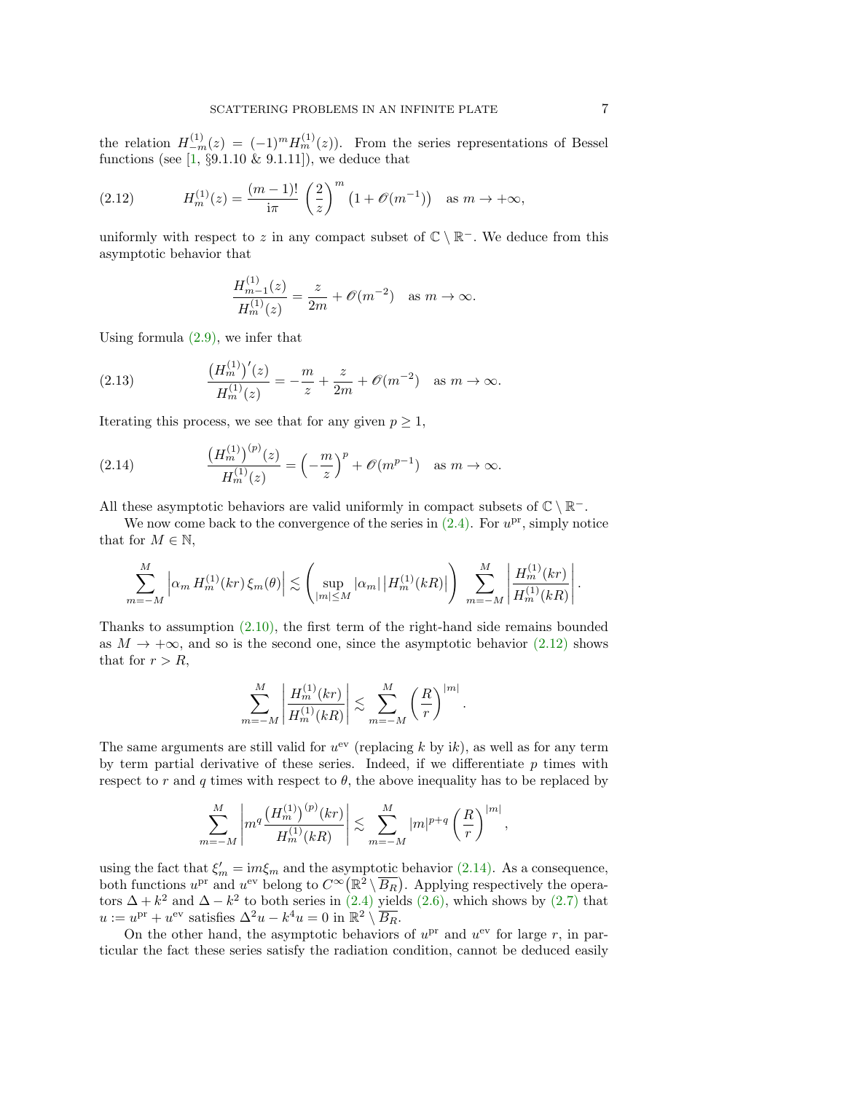the relation  $H_{-m}^{(1)}(z) = (-1)^m H_m^{(1)}(z)$ . From the series representations of Bessel functions (see  $[1, §9.1.10 \& 9.1.11]$  $[1, §9.1.10 \& 9.1.11]$ ), we deduce that

<span id="page-6-0"></span>(2.12) 
$$
H_m^{(1)}(z) = \frac{(m-1)!}{i\pi} \left(\frac{2}{z}\right)^m \left(1 + \mathcal{O}(m^{-1})\right) \text{ as } m \to +\infty,
$$

uniformly with respect to z in any compact subset of  $\mathbb{C} \setminus \mathbb{R}^-$ . We deduce from this asymptotic behavior that

<span id="page-6-2"></span>
$$
\frac{H_{m-1}^{(1)}(z)}{H_m^{(1)}(z)} = \frac{z}{2m} + \mathcal{O}(m^{-2}) \quad \text{as } m \to \infty.
$$

Using formula [\(2.9\),](#page-5-0) we infer that

(2.13) 
$$
\frac{\left(H_m^{(1)}\right)'(z)}{H_m^{(1)}(z)} = -\frac{m}{z} + \frac{z}{2m} + \mathcal{O}(m^{-2}) \text{ as } m \to \infty.
$$

Iterating this process, we see that for any given  $p \geq 1$ ,

<span id="page-6-1"></span>(2.14) 
$$
\frac{\left(H_m^{(1)}\right)^{(p)}(z)}{H_m^{(1)}(z)} = \left(-\frac{m}{z}\right)^p + \mathscr{O}(m^{p-1}) \text{ as } m \to \infty.
$$

All these asymptotic behaviors are valid uniformly in compact subsets of  $\mathbb{C} \setminus \mathbb{R}^-$ .

We now come back to the convergence of the series in  $(2.4)$ . For  $u^{\text{pr}}$ , simply notice that for  $M \in \mathbb{N}$ ,

$$
\sum_{m=-M}^{M} \left| \alpha_m H_m^{(1)}(kr) \, \xi_m(\theta) \right| \lesssim \left( \sup_{|m| \le M} |\alpha_m| \, |H_m^{(1)}(kR)| \right) \sum_{m=-M}^{M} \left| \frac{H_m^{(1)}(kr)}{H_m^{(1)}(kR)} \right|.
$$

Thanks to assumption  $(2.10)$ , the first term of the right-hand side remains bounded as  $M \to +\infty$ , and so is the second one, since the asymptotic behavior [\(2.12\)](#page-6-0) shows that for  $r > R$ ,

$$
\sum_{m=-M}^{M} \left| \frac{H_m^{(1)}(kr)}{H_m^{(1)}(kR)} \right| \lesssim \sum_{m=-M}^{M} \left( \frac{R}{r} \right)^{|m|}.
$$

The same arguments are still valid for  $u^{ev}$  (replacing k by ik), as well as for any term by term partial derivative of these series. Indeed, if we differentiate  $p$  times with respect to r and q times with respect to  $\theta$ , the above inequality has to be replaced by

$$
\sum_{m=-M}^{M} \left| m^q \frac{\left( H_m^{(1)} \right)^{(p)}(kr)}{H_m^{(1)}(kR)} \right| \lesssim \sum_{m=-M}^{M} |m|^{p+q} \left( \frac{R}{r} \right)^{|m|}
$$

,

using the fact that  $\xi'_m = im\xi_m$  and the asymptotic behavior [\(2.14\).](#page-6-1) As a consequence, both functions  $u^{\text{pr}}$  and  $u^{\text{ev}}$  belong to  $C^{\infty}(\mathbb{R}^2 \setminus \overline{B_R})$ . Applying respectively the operators  $\Delta + k^2$  and  $\Delta - k^2$  to both series in [\(2.4\)](#page-4-2) yields [\(2.6\),](#page-4-1) which shows by [\(2.7\)](#page-4-3) that  $u := u^{\text{pr}} + u^{\text{ev}}$  satisfies  $\Delta^2 u - k^4 u = 0$  in  $\mathbb{R}^2 \setminus \overline{B_R}$ .

On the other hand, the asymptotic behaviors of  $u<sup>pr</sup>$  and  $u<sup>ev</sup>$  for large r, in particular the fact these series satisfy the radiation condition, cannot be deduced easily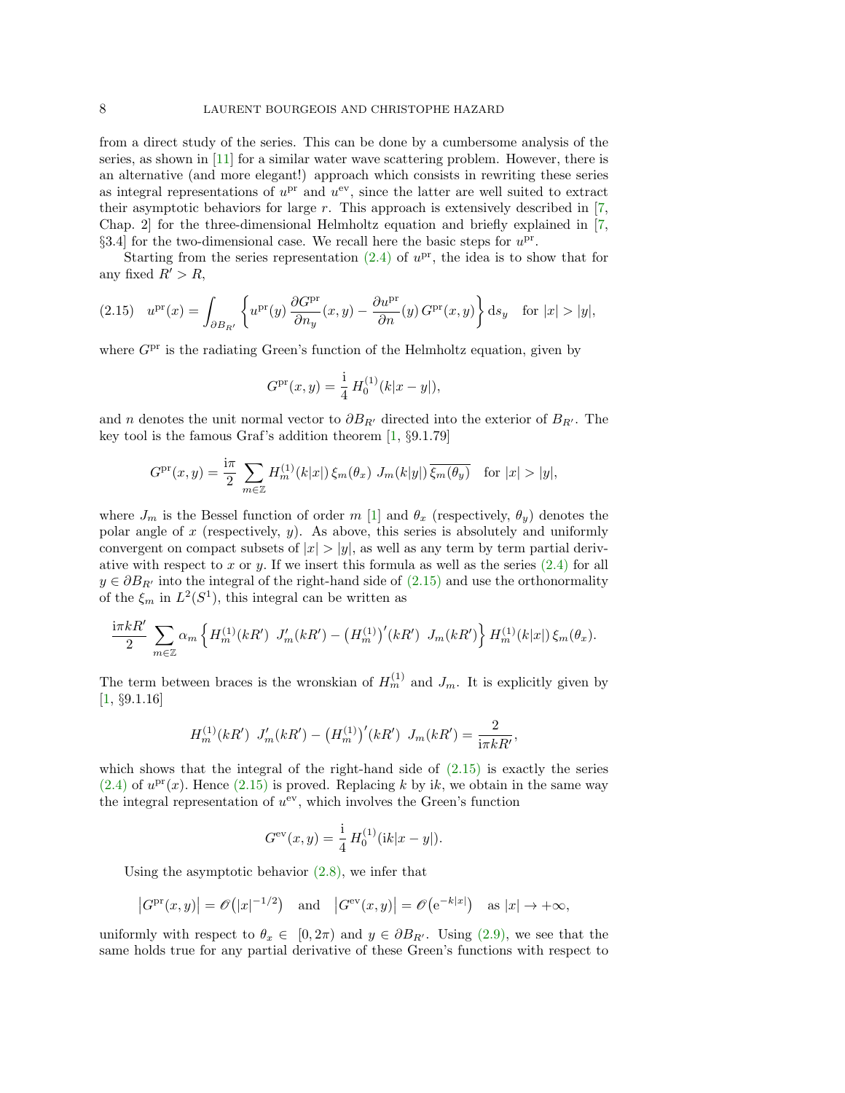from a direct study of the series. This can be done by a cumbersome analysis of the series, as shown in [\[11\]](#page-19-7) for a similar water wave scattering problem. However, there is an alternative (and more elegant!) approach which consists in rewriting these series as integral representations of  $u^{pr}$  and  $u^{ev}$ , since the latter are well suited to extract their asymptotic behaviors for large  $r$ . This approach is extensively described in  $[7,$ Chap. 2] for the three-dimensional Helmholtz equation and briefly explained in [\[7,](#page-19-2) §3.4 for the two-dimensional case. We recall here the basic steps for  $u^{\text{pr}}$ .

Starting from the series representation  $(2.4)$  of  $u^{\text{pr}}$ , the idea is to show that for any fixed  $R' > R$ ,

<span id="page-7-0"></span>
$$
(2.15) \quad u^{\text{pr}}(x) = \int_{\partial B_{R'}} \left\{ u^{\text{pr}}(y) \, \frac{\partial G^{\text{pr}}}{\partial n_y}(x, y) - \frac{\partial u^{\text{pr}}}{\partial n}(y) \, G^{\text{pr}}(x, y) \right\} \mathrm{d}s_y \quad \text{for } |x| > |y|,
$$

where  $G<sup>pr</sup>$  is the radiating Green's function of the Helmholtz equation, given by

$$
G^{\rm pr}(x,y) = \frac{\mathrm{i}}{4} H_0^{(1)}(k|x-y|),
$$

and n denotes the unit normal vector to  $\partial B_{R'}$  directed into the exterior of  $B_{R'}$ . The key tool is the famous Graf's addition theorem [\[1,](#page-19-6) §9.1.79]

$$
G^{\text{pr}}(x,y) = \frac{\mathrm{i}\pi}{2} \sum_{m \in \mathbb{Z}} H_m^{(1)}(k|x|) \, \xi_m(\theta_x) \, J_m(k|y|) \, \overline{\xi_m(\theta_y)} \quad \text{for } |x| > |y|,
$$

where  $J_m$  is the Bessel function of order m [\[1\]](#page-19-6) and  $\theta_x$  (respectively,  $\theta_y$ ) denotes the polar angle of  $x$  (respectively,  $y$ ). As above, this series is absolutely and uniformly convergent on compact subsets of  $|x| > |y|$ , as well as any term by term partial derivative with respect to  $x$  or  $y$ . If we insert this formula as well as the series  $(2.4)$  for all  $y \in \partial B_{R'}$  into the integral of the right-hand side of  $(2.15)$  and use the orthonormality of the  $\xi_m$  in  $L^2(S^1)$ , this integral can be written as

$$
\frac{\mathrm{i}\pi k R'}{2} \sum_{m\in\mathbb{Z}} \alpha_m \left\{ H_m^{(1)}(kR') J'_m(kR') - \left( H_m^{(1)} \right)'(kR') J_m(kR') \right\} H_m^{(1)}(k|x|) \xi_m(\theta_x).
$$

The term between braces is the wronskian of  $H_m^{(1)}$  and  $J_m$ . It is explicitly given by [\[1,](#page-19-6) §9.1.16]

$$
H_m^{(1)}(kR') J'_m(kR') - (H_m^{(1)})'(kR') J_m(kR') = \frac{2}{i\pi kR'},
$$

which shows that the integral of the right-hand side of  $(2.15)$  is exactly the series  $(2.4)$  of  $u<sup>pr</sup>(x)$ . Hence  $(2.15)$  is proved. Replacing k by ik, we obtain in the same way the integral representation of  $u^{ev}$ , which involves the Green's function

$$
G^{\text{ev}}(x, y) = \frac{1}{4} H_0^{(1)}(ik|x - y|).
$$

Using the asymptotic behavior  $(2.8)$ , we infer that

$$
|G^{\text{pr}}(x,y)| = \mathcal{O}(|x|^{-1/2})
$$
 and  $|G^{\text{ev}}(x,y)| = \mathcal{O}(e^{-k|x|})$  as  $|x| \to +\infty$ ,

uniformly with respect to  $\theta_x \in [0, 2\pi)$  and  $y \in \partial B_{R'}$ . Using [\(2.9\),](#page-5-0) we see that the same holds true for any partial derivative of these Green's functions with respect to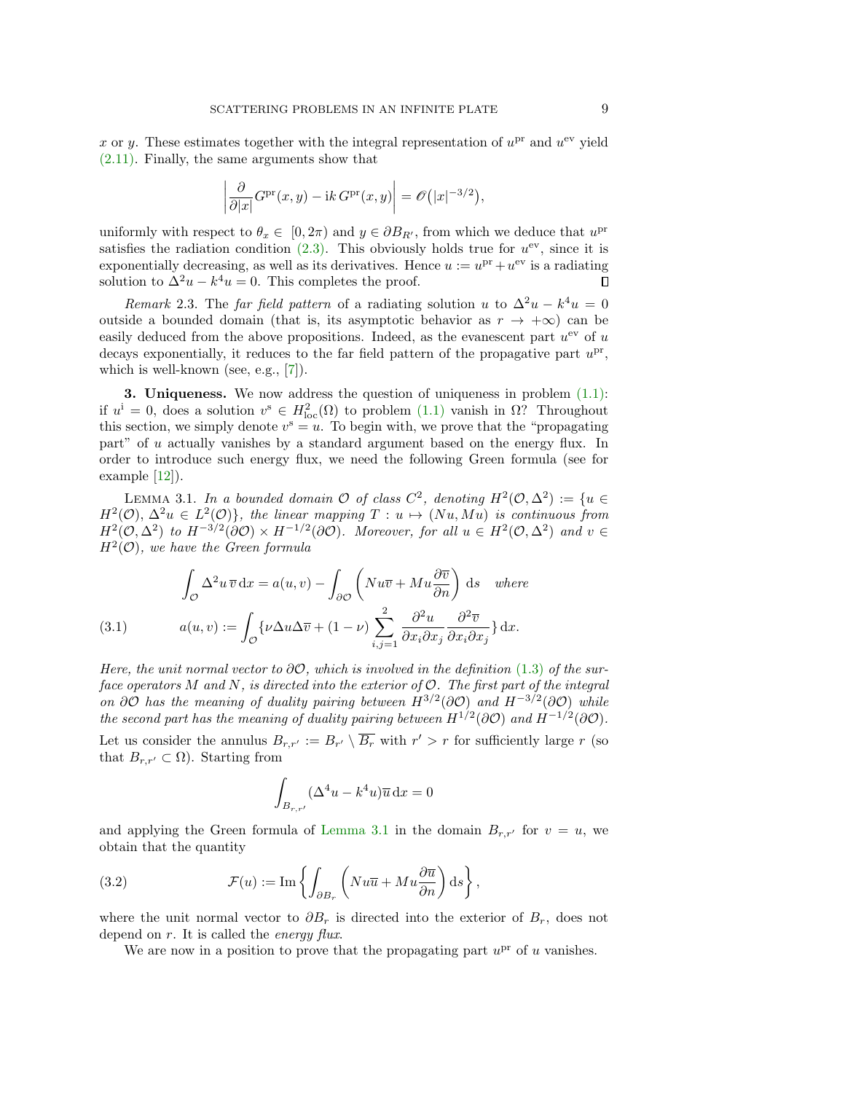x or y. These estimates together with the integral representation of  $u<sup>pr</sup>$  and  $u<sup>ev</sup>$  yield [\(2.11\).](#page-5-3) Finally, the same arguments show that

$$
\left| \frac{\partial}{\partial |x|} G^{\mathrm{pr}}(x, y) - \mathrm{i}k \, G^{\mathrm{pr}}(x, y) \right| = \mathscr{O}(|x|^{-3/2}),
$$

uniformly with respect to  $\theta_x \in [0, 2\pi)$  and  $y \in \partial B_{R'}$ , from which we deduce that  $u^{\text{pr}}$ satisfies the radiation condition  $(2.3)$ . This obviously holds true for  $u^{ev}$ , since it is exponentially decreasing, as well as its derivatives. Hence  $u := u^{\text{pr}} + u^{\text{ev}}$  is a radiating solution to  $\Delta^2 u - k^4 u = 0$ . This completes the proof.  $\Box$ 

Remark 2.3. The far field pattern of a radiating solution u to  $\Delta^2 u - k^4 u = 0$ outside a bounded domain (that is, its asymptotic behavior as  $r \to +\infty$ ) can be easily deduced from the above propositions. Indeed, as the evanescent part  $u^{ev}$  of u decays exponentially, it reduces to the far field pattern of the propagative part  $u^{\text{pr}}$ , which is well-known (see, e.g., [\[7\]](#page-19-2)).

3. Uniqueness. We now address the question of uniqueness in problem [\(1.1\):](#page-0-0) if  $u^i = 0$ , does a solution  $v^s \in H^2_{loc}(\Omega)$  to problem  $(1.1)$  vanish in  $\Omega$ ? Throughout this section, we simply denote  $v^s = u$ . To begin with, we prove that the "propagating" part" of u actually vanishes by a standard argument based on the energy flux. In order to introduce such energy flux, we need the following Green formula (see for example [\[12\]](#page-19-0)).

<span id="page-8-0"></span>LEMMA 3.1. In a bounded domain  $\mathcal O$  of class  $C^2$ , denoting  $H^2(\mathcal O,\Delta^2):=\{u\in\mathcal O\}$  $H^2(\mathcal{O}), \Delta^2 u \in L^2(\mathcal{O})\},\$  the linear mapping  $T: u \mapsto (Nu, Mu)$  is continuous from  $H^2(\mathcal{O}, \Delta^2)$  to  $H^{-3/2}(\partial \mathcal{O}) \times H^{-1/2}(\partial \mathcal{O})$ . Moreover, for all  $u \in H^2(\mathcal{O}, \Delta^2)$  and  $v \in$  $H^2(\mathcal{O})$ , we have the Green formula

<span id="page-8-2"></span>(3.1) 
$$
\int_{\mathcal{O}} \Delta^2 u \, \overline{v} \, dx = a(u, v) - \int_{\partial \mathcal{O}} \left( Nu \overline{v} + Mu \frac{\partial \overline{v}}{\partial n} \right) ds \quad where
$$

$$
a(u, v) := \int_{\mathcal{O}} \{ \nu \Delta u \Delta \overline{v} + (1 - \nu) \sum_{i,j=1}^2 \frac{\partial^2 u}{\partial x_i \partial x_j} \frac{\partial^2 \overline{v}}{\partial x_i \partial x_j} \} dx.
$$

Here, the unit normal vector to  $\partial \mathcal{O}$ , which is involved in the definition [\(1.3\)](#page-1-1) of the surface operators M and N, is directed into the exterior of  $\mathcal{O}$ . The first part of the integral on  $\partial O$  has the meaning of duality pairing between  $H^{3/2}(\partial O)$  and  $H^{-3/2}(\partial O)$  while the second part has the meaning of duality pairing between  $H^{1/2}(\partial \mathcal{O})$  and  $H^{-1/2}(\partial \mathcal{O})$ . Let us consider the annulus  $B_{r,r'} := B_{r'} \setminus \overline{B_r}$  with  $r' > r$  for sufficiently large r (so

that  $B_{r,r'} \subset \Omega$ ). Starting from

<span id="page-8-1"></span>
$$
\int_{B_{r,r'}} (\Delta^4 u - k^4 u) \overline{u} \, \mathrm{d}x = 0
$$

and applying the Green formula of [Lemma 3.1](#page-8-0) in the domain  $B_{r,r'}$  for  $v = u$ , we obtain that the quantity

(3.2) 
$$
\mathcal{F}(u) := \text{Im}\left\{ \int_{\partial B_r} \left( Nu\overline{u} + Mu\frac{\partial \overline{u}}{\partial n} \right) ds \right\},
$$

where the unit normal vector to  $\partial B_r$  is directed into the exterior of  $B_r$ , does not depend on  $r$ . It is called the *energy flux*.

We are now in a position to prove that the propagating part  $u^{\text{pr}}$  of u vanishes.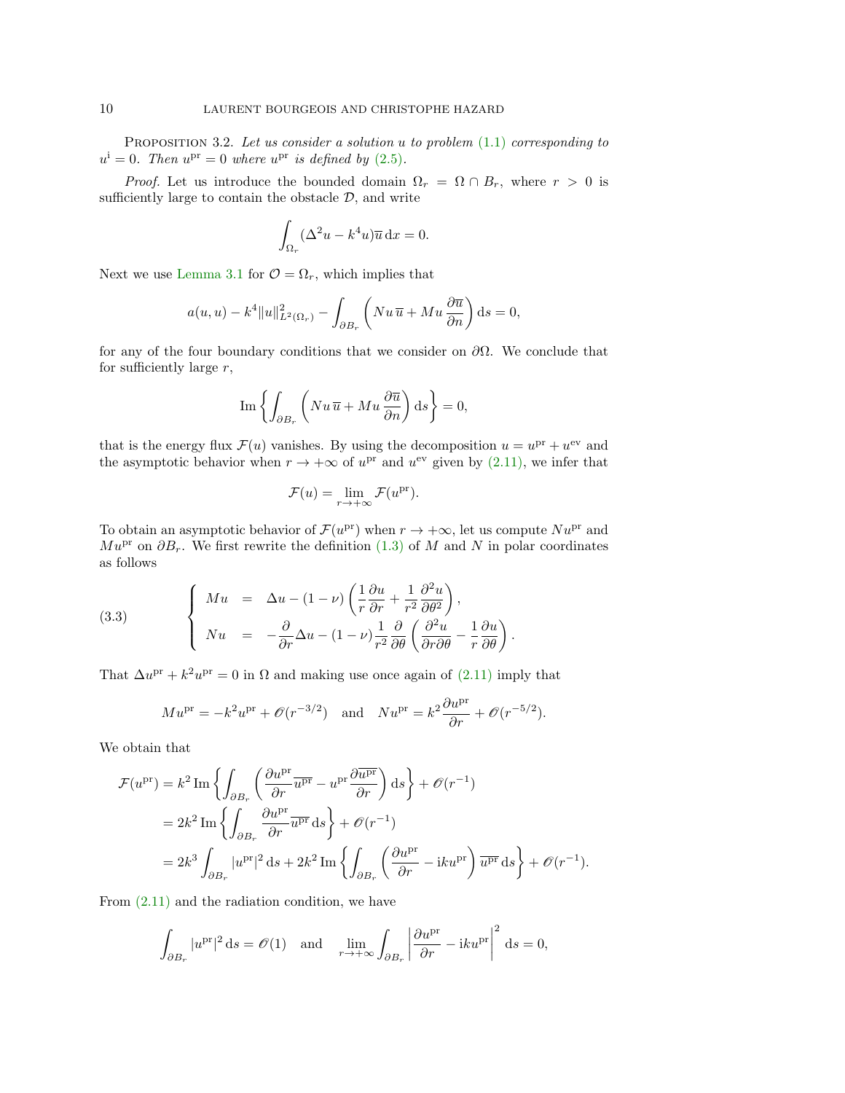PROPOSITION 3.2. Let us consider a solution u to problem  $(1.1)$  corresponding to  $u^{\text{i}} = 0$ . Then  $u^{\text{pr}} = 0$  where  $u^{\text{pr}}$  is defined by [\(2.5\)](#page-4-0).

*Proof.* Let us introduce the bounded domain  $\Omega_r = \Omega \cap B_r$ , where  $r > 0$  is sufficiently large to contain the obstacle  $D$ , and write

$$
\int_{\Omega_r} (\Delta^2 u - k^4 u) \overline{u} \, \mathrm{d}x = 0.
$$

Next we use [Lemma 3.1](#page-8-0) for  $\mathcal{O} = \Omega_r$ , which implies that

$$
a(u, u) - k^4 ||u||_{L^2(\Omega_r)}^2 - \int_{\partial B_r} \left( Nu \overline{u} + Mu \frac{\partial \overline{u}}{\partial n} \right) ds = 0,
$$

for any of the four boundary conditions that we consider on  $\partial\Omega$ . We conclude that for sufficiently large  $r$ ,

$$
\operatorname{Im}\left\{\int_{\partial B_r}\left(Nu \, \overline{u} + M u \, \frac{\partial \overline{u}}{\partial n}\right) \mathrm{d}s\right\} = 0,
$$

that is the energy flux  $\mathcal{F}(u)$  vanishes. By using the decomposition  $u = u^{\text{pr}} + u^{\text{ev}}$  and the asymptotic behavior when  $r \to +\infty$  of  $u^{pr}$  and  $u^{ev}$  given by  $(2.11)$ , we infer that

$$
\mathcal{F}(u) = \lim_{r \to +\infty} \mathcal{F}(u^{\text{pr}}).
$$

To obtain an asymptotic behavior of  $\mathcal{F}(u^{\text{pr}})$  when  $r \to +\infty$ , let us compute  $Nu^{\text{pr}}$  and  $Mu^{\text{pr}}$  on  $\partial B_r$ . We first rewrite the definition [\(1.3\)](#page-1-1) of M and N in polar coordinates as follows

<span id="page-9-0"></span>(3.3) 
$$
\begin{cases} Mu = \Delta u - (1 - \nu) \left( \frac{1}{r} \frac{\partial u}{\partial r} + \frac{1}{r^2} \frac{\partial^2 u}{\partial \theta^2} \right), \\ Nu = -\frac{\partial}{\partial r} \Delta u - (1 - \nu) \frac{1}{r^2} \frac{\partial}{\partial \theta} \left( \frac{\partial^2 u}{\partial r \partial \theta} - \frac{1}{r} \frac{\partial u}{\partial \theta} \right). \end{cases}
$$

That  $\Delta u^{\text{pr}} + k^2 u^{\text{pr}} = 0$  in  $\Omega$  and making use once again of [\(2.11\)](#page-5-3) imply that

$$
M u^{\text{pr}} = -k^2 u^{\text{pr}} + \mathcal{O}(r^{-3/2})
$$
 and  $N u^{\text{pr}} = k^2 \frac{\partial u^{\text{pr}}}{\partial r} + \mathcal{O}(r^{-5/2}).$ 

We obtain that

$$
\mathcal{F}(u^{\rm pr}) = k^2 \operatorname{Im} \left\{ \int_{\partial B_r} \left( \frac{\partial u^{\rm pr}}{\partial r} \overline{u^{\rm pr}} - u^{\rm pr} \frac{\partial \overline{u^{\rm pr}}}{\partial r} \right) ds \right\} + \mathcal{O}(r^{-1})
$$
  
=  $2k^2 \operatorname{Im} \left\{ \int_{\partial B_r} \frac{\partial u^{\rm pr}}{\partial r} \overline{u^{\rm pr}} ds \right\} + \mathcal{O}(r^{-1})$   
=  $2k^3 \int_{\partial B_r} |u^{\rm pr}|^2 ds + 2k^2 \operatorname{Im} \left\{ \int_{\partial B_r} \left( \frac{\partial u^{\rm pr}}{\partial r} - iku^{\rm pr} \right) \overline{u^{\rm pr}} ds \right\} + \mathcal{O}(r^{-1}).$ 

From  $(2.11)$  and the radiation condition, we have

$$
\int_{\partial B_r} |u^{\text{pr}}|^2 ds = \mathcal{O}(1) \quad \text{and} \quad \lim_{r \to +\infty} \int_{\partial B_r} \left| \frac{\partial u^{\text{pr}}}{\partial r} - iku^{\text{pr}} \right|^2 ds = 0,
$$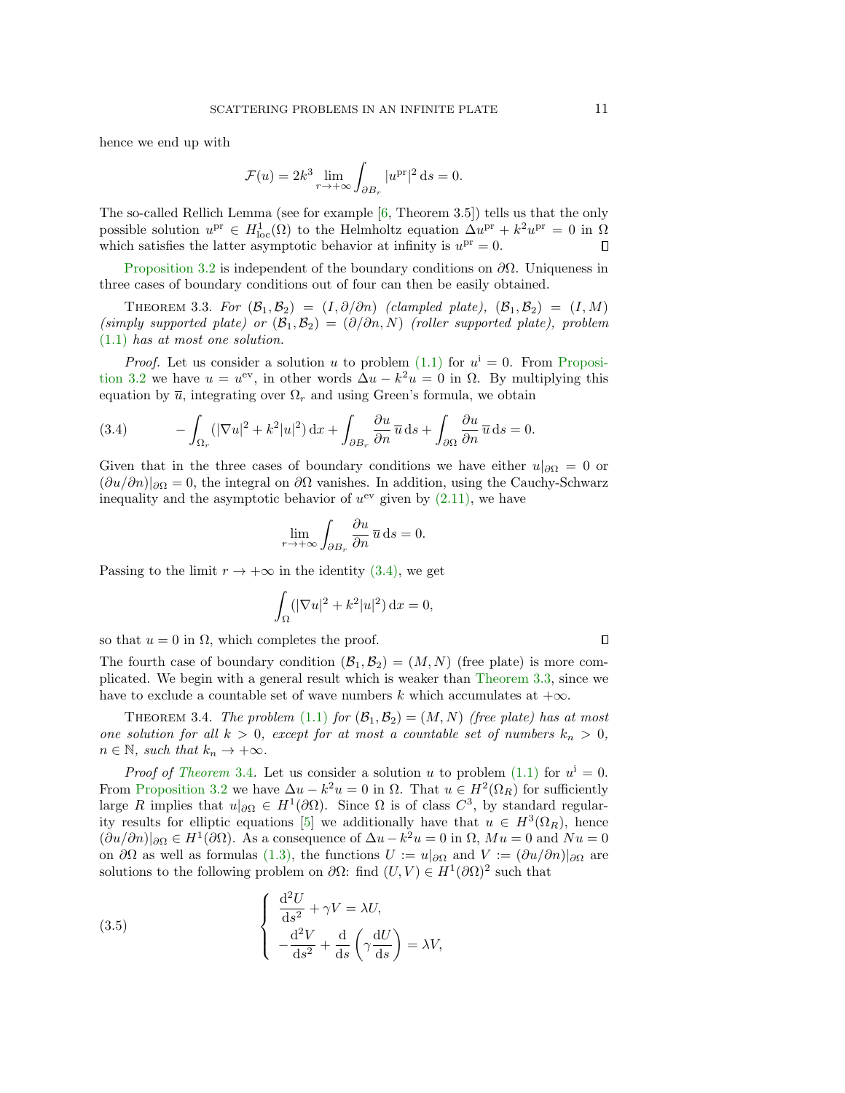hence we end up with

<span id="page-10-1"></span>
$$
\mathcal{F}(u) = 2k^3 \lim_{r \to +\infty} \int_{\partial B_r} |u^{\text{pr}}|^2 \, \mathrm{d}s = 0.
$$

The so-called Rellich Lemma (see for example [\[6,](#page-19-8) Theorem 3.5]) tells us that the only possible solution  $u^{\text{pr}} \in H_{\text{loc}}^1(\Omega)$  to the Helmholtz equation  $\Delta u^{\text{pr}} + k^2 u^{\text{pr}} = 0$  in  $\Omega$ which satisfies the latter asymptotic behavior at infinity is  $u<sup>pr</sup> = 0$ . □

[Proposition 3.2](#page-8-1) is independent of the boundary conditions on  $\partial\Omega$ . Uniqueness in three cases of boundary conditions out of four can then be easily obtained.

THEOREM 3.3. For  $(\mathcal{B}_1, \mathcal{B}_2) = (I, \partial/\partial n)$  (clampled plate),  $(\mathcal{B}_1, \mathcal{B}_2) = (I, M)$ (simply supported plate) or  $(\mathcal{B}_1, \mathcal{B}_2) = (\partial/\partial n, N)$  (roller supported plate), problem [\(1.1\)](#page-0-0) has at most one solution.

*Proof.* Let us consider a solution u to problem  $(1.1)$  for  $u^i = 0$ . From [Proposi](#page-8-1)[tion 3.2](#page-8-1) we have  $u = u^{\text{ev}},$  in other words  $\Delta u - k^2 u = 0$  in  $\Omega$ . By multiplying this equation by  $\bar{u}$ , integrating over  $\Omega_r$  and using Green's formula, we obtain

<span id="page-10-0"></span>(3.4) 
$$
- \int_{\Omega_r} (|\nabla u|^2 + k^2 |u|^2) \, dx + \int_{\partial B_r} \frac{\partial u}{\partial n} \overline{u} \, ds + \int_{\partial \Omega} \frac{\partial u}{\partial n} \overline{u} \, ds = 0.
$$

Given that in the three cases of boundary conditions we have either  $u|_{\partial\Omega} = 0$  or  $(\partial u/\partial n)|_{\partial\Omega} = 0$ , the integral on  $\partial\Omega$  vanishes. In addition, using the Cauchy-Schwarz inequality and the asymptotic behavior of  $u^{ev}$  given by  $(2.11)$ , we have

$$
\lim_{r \to +\infty} \int_{\partial B_r} \frac{\partial u}{\partial n} \, \overline{u} \, \mathrm{d}s = 0.
$$

Passing to the limit  $r \to +\infty$  in the identity [\(3.4\),](#page-10-0) we get

$$
\int_{\Omega} (|\nabla u|^2 + k^2 |u|^2) \, \mathrm{d}x = 0,
$$

so that  $u = 0$  in  $\Omega$ , which completes the proof.

The fourth case of boundary condition  $(\mathcal{B}_1, \mathcal{B}_2) = (M, N)$  (free plate) is more complicated. We begin with a general result which is weaker than [Theorem 3.3,](#page-10-1) since we have to exclude a countable set of wave numbers k which accumulates at  $+\infty$ .

THEOREM 3.4. The problem [\(1.1\)](#page-0-0) for  $(\mathcal{B}_1, \mathcal{B}_2) = (M, N)$  (free plate) has at most one solution for all  $k > 0$ , except for at most a countable set of numbers  $k_n > 0$ ,  $n \in \mathbb{N}$ , such that  $k_n \to +\infty$ .

*Proof of [Theorem](#page-10-2)* 3.4. Let us consider a solution u to problem [\(1.1\)](#page-0-0) for  $u^i = 0$ . From [Proposition 3.2](#page-8-1) we have  $\Delta u - k^2 u = 0$  in  $\Omega$ . That  $u \in H^2(\Omega_R)$  for sufficiently large R implies that  $u|_{\partial\Omega} \in H^1(\partial\Omega)$ . Since  $\Omega$  is of class  $C^3$ , by standard regular-ity results for elliptic equations [\[5\]](#page-19-9) we additionally have that  $u \in H^3(\Omega_R)$ , hence  $(\partial u/\partial n)|_{\partial\Omega} \in H^1(\partial\Omega)$ . As a consequence of  $\Delta u - k^2u = 0$  in  $\Omega$ ,  $Mu = 0$  and  $Nu = 0$ on  $\partial\Omega$  as well as formulas [\(1.3\),](#page-1-1) the functions  $U := u|_{\partial\Omega}$  and  $V := (\partial u/\partial n)|_{\partial\Omega}$  are solutions to the following problem on  $\partial\Omega$ : find  $(U, V) \in H^1(\partial\Omega)^2$  such that

<span id="page-10-3"></span>(3.5) 
$$
\begin{cases} \frac{\mathrm{d}^2 U}{\mathrm{d}s^2} + \gamma V = \lambda U, \\ -\frac{\mathrm{d}^2 V}{\mathrm{d}s^2} + \frac{\mathrm{d}}{\mathrm{d}s} \left( \gamma \frac{\mathrm{d}U}{\mathrm{d}s} \right) = \lambda V, \end{cases}
$$

<span id="page-10-2"></span> $\Box$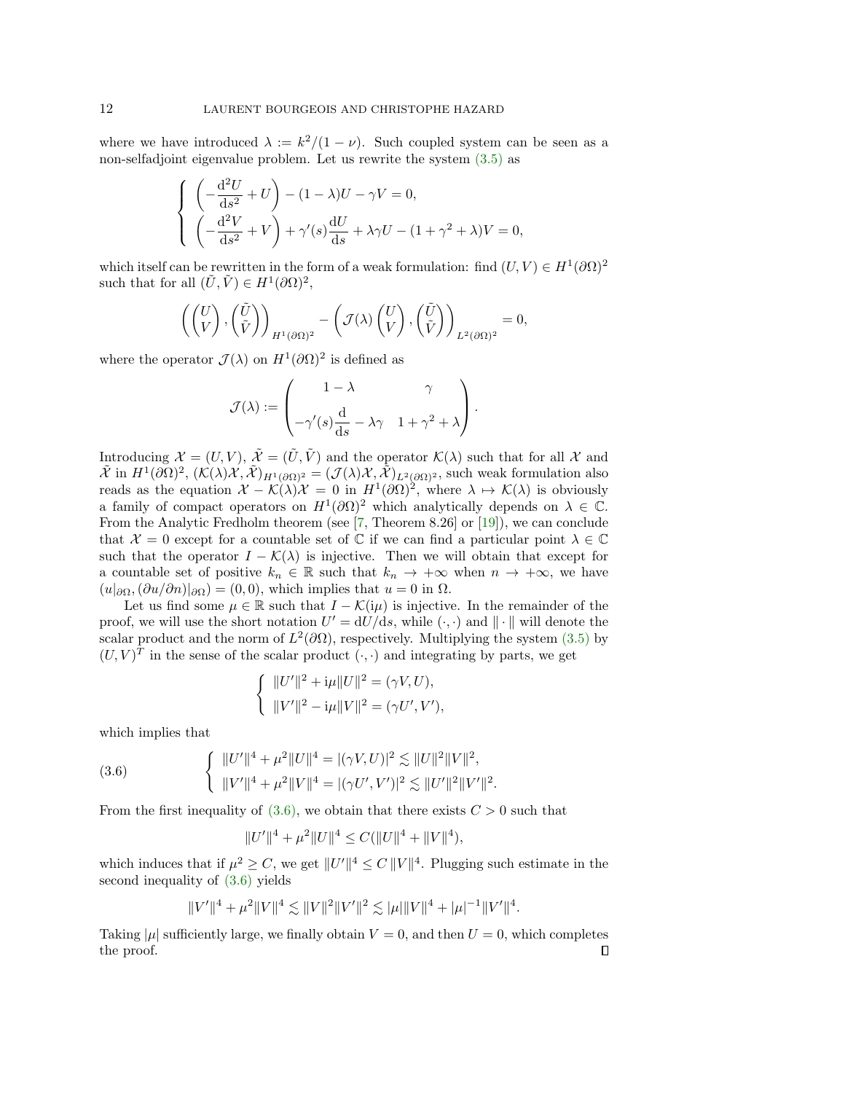where we have introduced  $\lambda := k^2/(1 - \nu)$ . Such coupled system can be seen as a non-selfadjoint eigenvalue problem. Let us rewrite the system [\(3.5\)](#page-10-3) as

$$
\begin{cases}\n\left(-\frac{\mathrm{d}^2 U}{\mathrm{d}s^2} + U\right) - (1 - \lambda)U - \gamma V = 0, \\
\left(-\frac{\mathrm{d}^2 V}{\mathrm{d}s^2} + V\right) + \gamma'(s)\frac{\mathrm{d}U}{\mathrm{d}s} + \lambda\gamma U - (1 + \gamma^2 + \lambda)V = 0,\n\end{cases}
$$

which itself can be rewritten in the form of a weak formulation: find  $(U, V) \in H^1(\partial\Omega)^2$ such that for all  $(\tilde{U}, \tilde{V}) \in H^1(\partial\Omega)^2$ ,

$$
\left( \begin{pmatrix} U \\ V \end{pmatrix}, \begin{pmatrix} \tilde{U} \\ \tilde{V} \end{pmatrix} \right)_{H^1(\partial \Omega)^2} - \left( \mathcal{J}(\lambda) \begin{pmatrix} U \\ V \end{pmatrix}, \begin{pmatrix} \tilde{U} \\ \tilde{V} \end{pmatrix} \right)_{L^2(\partial \Omega)^2} = 0,
$$

where the operator  $\mathcal{J}(\lambda)$  on  $H^1(\partial\Omega)^2$  is defined as

$$
\mathcal{J}(\lambda) := \begin{pmatrix} 1 - \lambda & \gamma \\ & \\ -\gamma'(s) \frac{d}{ds} - \lambda \gamma & 1 + \gamma^2 + \lambda \end{pmatrix}.
$$

Introducing  $\mathcal{X} = (U, V), \tilde{\mathcal{X}} = (\tilde{U}, \tilde{V})$  and the operator  $\mathcal{K}(\lambda)$  such that for all X and  $\tilde{\mathcal{X}}$  in  $H^1(\partial\Omega)^2$ ,  $(\mathcal{K}(\lambda)\mathcal{X},\tilde{\mathcal{X}})_{H^1(\partial\Omega)^2}=(\mathcal{J}(\lambda)\mathcal{X},\tilde{\mathcal{X}})_{L^2(\partial\Omega)^2}$ , such weak formulation also reads as the equation  $\mathcal{X} - \mathcal{K}(\lambda)\mathcal{X} = 0$  in  $H^1(\partial\Omega)^2$ , where  $\lambda \mapsto \mathcal{K}(\lambda)$  is obviously a family of compact operators on  $H^1(\partial\Omega)^2$  which analytically depends on  $\lambda \in \mathbb{C}$ . From the Analytic Fredholm theorem (see [\[7,](#page-19-2) Theorem 8.26] or [\[19\]](#page-20-7)), we can conclude that  $\mathcal{X} = 0$  except for a countable set of  $\mathbb C$  if we can find a particular point  $\lambda \in \mathbb C$ such that the operator  $I - \mathcal{K}(\lambda)$  is injective. Then we will obtain that except for a countable set of positive  $k_n \in \mathbb{R}$  such that  $k_n \to +\infty$  when  $n \to +\infty$ , we have  $(u|_{\partial\Omega},(\partial u/\partial n)|_{\partial\Omega})=(0,0)$ , which implies that  $u=0$  in  $\Omega$ .

Let us find some  $\mu \in \mathbb{R}$  such that  $I - \mathcal{K}(i\mu)$  is injective. In the remainder of the proof, we will use the short notation  $U' = dU/ds$ , while  $(\cdot, \cdot)$  and  $\|\cdot\|$  will denote the scalar product and the norm of  $L^2(\partial\Omega)$ , respectively. Multiplying the system [\(3.5\)](#page-10-3) by  $(U, V)^T$  in the sense of the scalar product  $(\cdot, \cdot)$  and integrating by parts, we get

$$
\left\{ \begin{array}{l} \|U'\|^2 + \mathrm{i} \mu \|U\|^2 = (\gamma V,U), \\[1mm] \|V'\|^2 - \mathrm{i} \mu \|V\|^2 = (\gamma U',V'), \end{array} \right.
$$

which implies that

(3.6) 
$$
\begin{cases} ||U'||^4 + \mu^2 ||U||^4 = |(\gamma V, U)|^2 \lesssim ||U||^2 ||V||^2, \\ ||V'||^4 + \mu^2 ||V||^4 = |(\gamma U', V')|^2 \lesssim ||U'||^2 ||V'||^2. \end{cases}
$$

From the first inequality of  $(3.6)$ , we obtain that there exists  $C > 0$  such that

<span id="page-11-0"></span>
$$
||U'||^4 + \mu^2 ||U||^4 \leq C(||U||^4 + ||V||^4),
$$

which induces that if  $\mu^2 \geq C$ , we get  $||U'||^4 \leq C ||V||^4$ . Plugging such estimate in the second inequality of [\(3.6\)](#page-11-0) yields

$$
||V'||^4 + \mu^2 ||V||^4 \lesssim ||V||^2 ||V'||^2 \lesssim |\mu|||V||^4 + |\mu|^{-1} ||V'||^4.
$$

Taking  $|\mu|$  sufficiently large, we finally obtain  $V = 0$ , and then  $U = 0$ , which completes the proof. $\Box$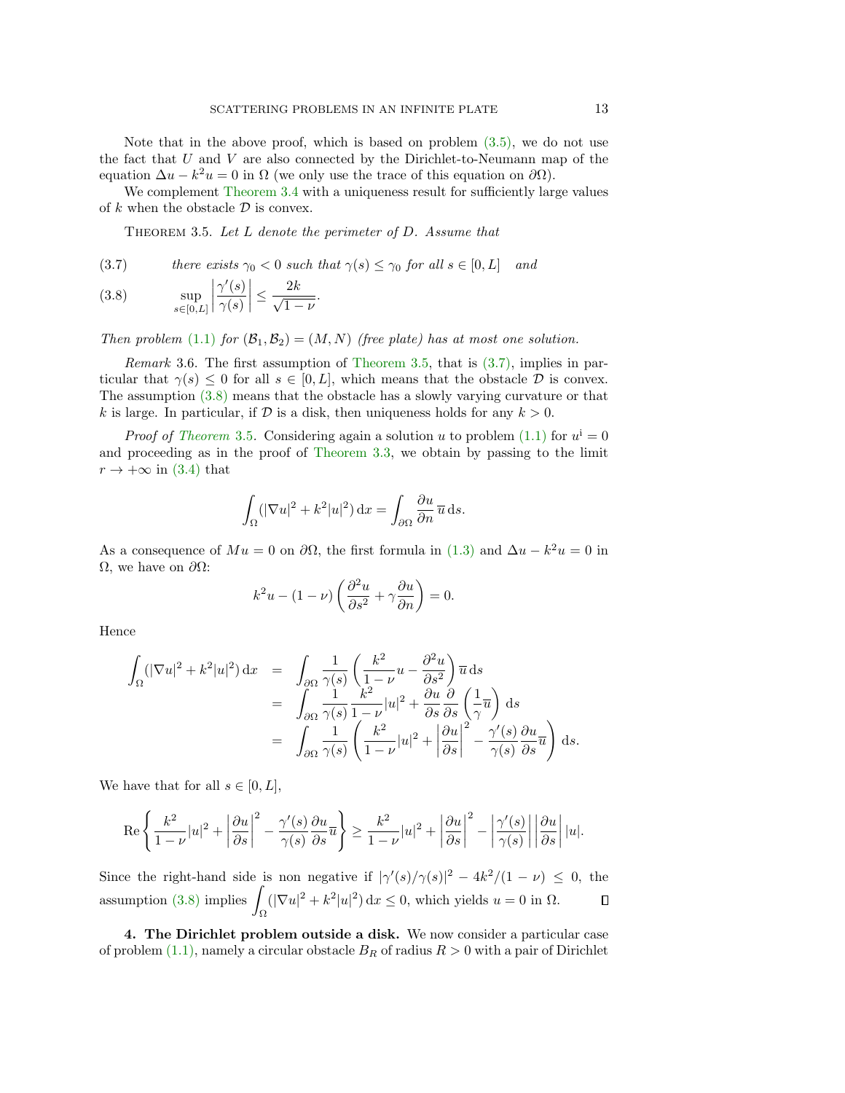Note that in the above proof, which is based on problem  $(3.5)$ , we do not use the fact that  $U$  and  $V$  are also connected by the Dirichlet-to-Neumann map of the equation  $\Delta u - k^2 u = 0$  in  $\Omega$  (we only use the trace of this equation on  $\partial \Omega$ ).

We complement [Theorem 3.4](#page-10-2) with a uniqueness result for sufficiently large values of k when the obstacle  $\mathcal D$  is convex.

<span id="page-12-0"></span>THEOREM 3.5. Let L denote the perimeter of D. Assume that

<span id="page-12-1"></span>(3.7) *there exists* 
$$
\gamma_0 < 0
$$
 *such that*  $\gamma(s) \leq \gamma_0$  *for all*  $s \in [0, L]$  *and*

<span id="page-12-2"></span>(3.8) 
$$
\sup_{s \in [0,L]} \left| \frac{\gamma'(s)}{\gamma(s)} \right| \leq \frac{2k}{\sqrt{1-\nu}}.
$$

Then problem [\(1.1\)](#page-0-0) for  $(\mathcal{B}_1, \mathcal{B}_2) = (M, N)$  (free plate) has at most one solution.

Remark 3.6. The first assumption of [Theorem 3.5,](#page-12-0) that is [\(3.7\),](#page-12-1) implies in particular that  $\gamma(s) \leq 0$  for all  $s \in [0, L]$ , which means that the obstacle  $\mathcal D$  is convex. The assumption [\(3.8\)](#page-12-2) means that the obstacle has a slowly varying curvature or that k is large. In particular, if  $D$  is a disk, then uniqueness holds for any  $k > 0$ .

*Proof of [Theorem](#page-12-0)* 3.5. Considering again a solution u to problem [\(1.1\)](#page-0-0) for  $u^i = 0$ and proceeding as in the proof of [Theorem 3.3,](#page-10-1) we obtain by passing to the limit  $r \to +\infty$  in [\(3.4\)](#page-10-0) that

$$
\int_{\Omega} (|\nabla u|^2 + k^2 |u|^2) \, \mathrm{d}x = \int_{\partial \Omega} \frac{\partial u}{\partial n} \, \overline{u} \, \mathrm{d}s.
$$

As a consequence of  $Mu = 0$  on  $\partial\Omega$ , the first formula in [\(1.3\)](#page-1-1) and  $\Delta u - k^2 u = 0$  in Ω, we have on  $\partial Ω$ :

$$
k^{2}u - (1 - \nu)\left(\frac{\partial^{2} u}{\partial s^{2}} + \gamma \frac{\partial u}{\partial n}\right) = 0.
$$

Hence

$$
\int_{\Omega} (|\nabla u|^2 + k^2 |u|^2) dx = \int_{\partial \Omega} \frac{1}{\gamma(s)} \left( \frac{k^2}{1 - \nu} u - \frac{\partial^2 u}{\partial s^2} \right) \overline{u} ds
$$
  
\n
$$
= \int_{\partial \Omega} \frac{1}{\gamma(s)} \frac{k^2}{1 - \nu} |u|^2 + \frac{\partial u}{\partial s} \frac{\partial}{\partial s} \left( \frac{1}{\gamma} \overline{u} \right) ds
$$
  
\n
$$
= \int_{\partial \Omega} \frac{1}{\gamma(s)} \left( \frac{k^2}{1 - \nu} |u|^2 + \left| \frac{\partial u}{\partial s} \right|^2 - \frac{\gamma'(s)}{\gamma(s)} \frac{\partial u}{\partial s} \overline{u} \right) ds.
$$

We have that for all  $s \in [0, L]$ ,

$$
\operatorname{Re}\left\{\frac{k^2}{1-\nu}|u|^2+\left|\frac{\partial u}{\partial s}\right|^2-\frac{\gamma'(s)}{\gamma(s)}\frac{\partial u}{\partial s}\overline{u}\right\}\geq \frac{k^2}{1-\nu}|u|^2+\left|\frac{\partial u}{\partial s}\right|^2-\left|\frac{\gamma'(s)}{\gamma(s)}\right|\left|\frac{\partial u}{\partial s}\right||u|.
$$

Since the right-hand side is non negative if  $|\gamma'(s)/\gamma(s)|^2 - 4k^2/(1 - \nu) \leq 0$ , the assumption  $(3.8)$  implies  $(|\nabla u|^2 + k^2|u|^2) dx \leq 0$ , which yields  $u = 0$  in  $\Omega$ .  $\Box$ Ω

4. The Dirichlet problem outside a disk. We now consider a particular case of problem [\(1.1\),](#page-0-0) namely a circular obstacle  $B_R$  of radius  $R > 0$  with a pair of Dirichlet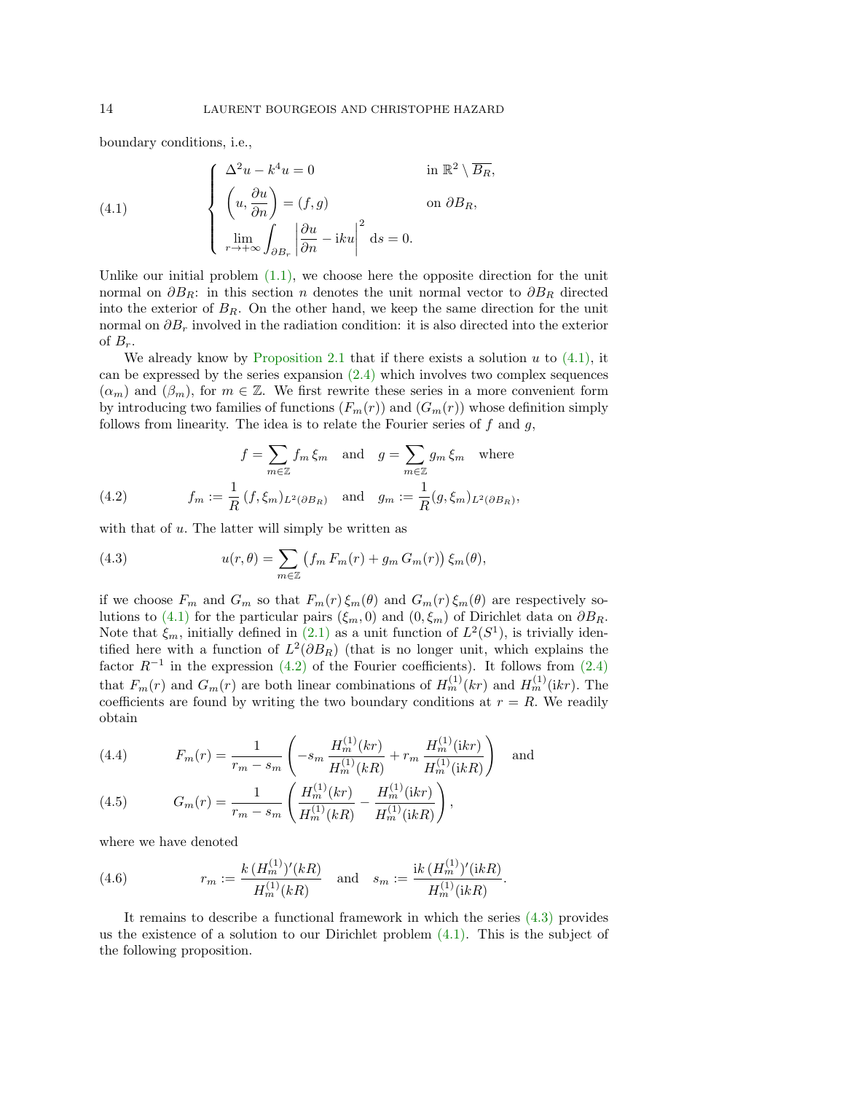boundary conditions, i.e.,

<span id="page-13-0"></span>(4.1) 
$$
\begin{cases} \Delta^2 u - k^4 u = 0 & \text{in } \mathbb{R}^2 \setminus \overline{B_R}, \\ \left( u, \frac{\partial u}{\partial n} \right) = (f, g) & \text{on } \partial B_R, \\ \lim_{r \to +\infty} \int_{\partial B_r} \left| \frac{\partial u}{\partial n} - iku \right|^2 ds = 0. \end{cases}
$$

Unlike our initial problem  $(1.1)$ , we choose here the opposite direction for the unit normal on  $\partial B_R$ : in this section n denotes the unit normal vector to  $\partial B_R$  directed into the exterior of  $B_R$ . On the other hand, we keep the same direction for the unit normal on  $\partial B_r$  involved in the radiation condition: it is also directed into the exterior of  $B_r$ .

We already know by [Proposition 2.1](#page-4-1) that if there exists a solution  $u$  to  $(4.1)$ , it can be expressed by the series expansion [\(2.4\)](#page-4-2) which involves two complex sequences  $(\alpha_m)$  and  $(\beta_m)$ , for  $m \in \mathbb{Z}$ . We first rewrite these series in a more convenient form by introducing two families of functions  $(F_m(r))$  and  $(G_m(r))$  whose definition simply follows from linearity. The idea is to relate the Fourier series of  $f$  and  $g$ ,

<span id="page-13-1"></span>(4.2) 
$$
f = \sum_{m \in \mathbb{Z}} f_m \xi_m \text{ and } g = \sum_{m \in \mathbb{Z}} g_m \xi_m \text{ where}
$$

$$
f_m := \frac{1}{R} (f, \xi_m)_{L^2(\partial B_R)} \text{ and } g_m := \frac{1}{R} (g, \xi_m)_{L^2(\partial B_R)},
$$

with that of  $u$ . The latter will simply be written as

<span id="page-13-2"></span>(4.3) 
$$
u(r,\theta) = \sum_{m\in\mathbb{Z}} \left( f_m F_m(r) + g_m G_m(r) \right) \xi_m(\theta),
$$

if we choose  $F_m$  and  $G_m$  so that  $F_m(r)\xi_m(\theta)$  and  $G_m(r)\xi_m(\theta)$  are respectively so-lutions to [\(4.1\)](#page-13-0) for the particular pairs ( $\xi_m$ , 0) and (0, $\xi_m$ ) of Dirichlet data on  $\partial B_R$ . Note that  $\xi_m$ , initially defined in [\(2.1\)](#page-3-0) as a unit function of  $L^2(S^1)$ , is trivially identified here with a function of  $L^2(\partial B_R)$  (that is no longer unit, which explains the factor  $R^{-1}$  in the expression [\(4.2\)](#page-13-1) of the Fourier coefficients). It follows from [\(2.4\)](#page-4-2) that  $F_m(r)$  and  $G_m(r)$  are both linear combinations of  $H_m^{(1)}(kr)$  and  $H_m^{(1)}(ikr)$ . The coefficients are found by writing the two boundary conditions at  $r = R$ . We readily obtain

<span id="page-13-4"></span>(4.4) 
$$
F_m(r) = \frac{1}{r_m - s_m} \left( -s_m \frac{H_m^{(1)}(kr)}{H_m^{(1)}(kR)} + r_m \frac{H_m^{(1)}(ikr)}{H_m^{(1)}(ikR)} \right) \text{ and}
$$

<span id="page-13-5"></span>(4.5) 
$$
G_m(r) = \frac{1}{r_m - s_m} \left( \frac{H_m^{(1)}(kr)}{H_m^{(1)}(kR)} - \frac{H_m^{(1)}(ikr)}{H_m^{(1)}(ikR)} \right),
$$

where we have denoted

<span id="page-13-3"></span>(4.6) 
$$
r_m := \frac{k (H_m^{(1)})'(kR)}{H_m^{(1)}(kR)} \quad \text{and} \quad s_m := \frac{ik (H_m^{(1)})'(ikR)}{H_m^{(1)}(ikR)}.
$$

<span id="page-13-6"></span>It remains to describe a functional framework in which the series [\(4.3\)](#page-13-2) provides us the existence of a solution to our Dirichlet problem  $(4.1)$ . This is the subject of the following proposition.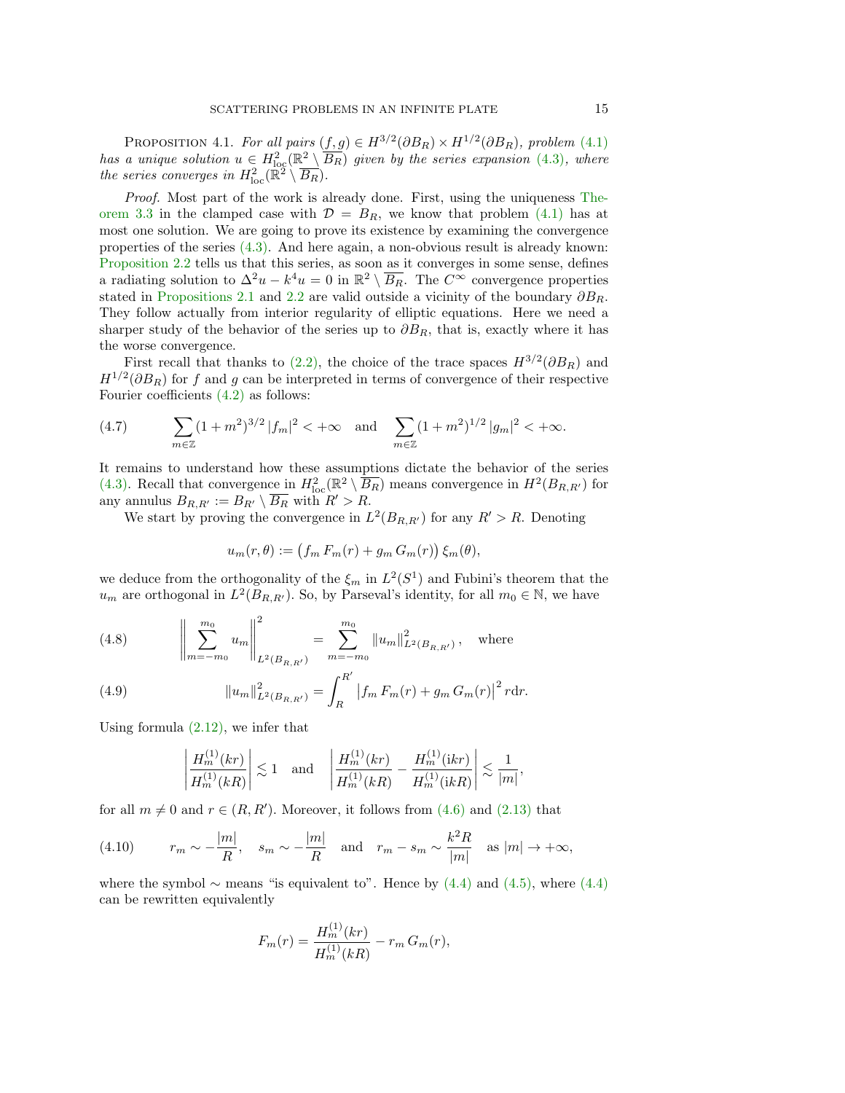PROPOSITION 4.1. For all pairs  $(f, g) \in H^{3/2}(\partial B_R) \times H^{1/2}(\partial B_R)$ , problem [\(4.1\)](#page-13-0) has a unique solution  $u \in H^2_{loc}(\mathbb{R}^2 \setminus \overline{B_R})$  given by the series expansion [\(4.3\)](#page-13-2), where the series converges in  $H_{\text{loc}}^2(\mathbb{R}^2 \setminus \overline{B_R})$ .

Proof. Most part of the work is already done. First, using the uniqueness [The](#page-10-1)[orem 3.3](#page-10-1) in the clamped case with  $\mathcal{D} = B_R$ , we know that problem [\(4.1\)](#page-13-0) has at most one solution. We are going to prove its existence by examining the convergence properties of the series [\(4.3\).](#page-13-2) And here again, a non-obvious result is already known: [Proposition 2.2](#page-5-3) tells us that this series, as soon as it converges in some sense, defines a radiating solution to  $\Delta^2 u - k^4 u = 0$  in  $\mathbb{R}^2 \setminus \overline{B_R}$ . The  $C^{\infty}$  convergence properties stated in [Propositions 2.1](#page-4-1) and [2.2](#page-5-3) are valid outside a vicinity of the boundary  $\partial B_R$ . They follow actually from interior regularity of elliptic equations. Here we need a sharper study of the behavior of the series up to  $\partial B_R$ , that is, exactly where it has the worse convergence.

First recall that thanks to [\(2.2\),](#page-3-1) the choice of the trace spaces  $H^{3/2}(\partial B_R)$  and  $H^{1/2}(\partial B_R)$  for f and g can be interpreted in terms of convergence of their respective Fourier coefficients [\(4.2\)](#page-13-1) as follows:

<span id="page-14-1"></span>(4.7) 
$$
\sum_{m\in\mathbb{Z}} (1+m^2)^{3/2} |f_m|^2 < +\infty \text{ and } \sum_{m\in\mathbb{Z}} (1+m^2)^{1/2} |g_m|^2 < +\infty.
$$

It remains to understand how these assumptions dictate the behavior of the series [\(4.3\).](#page-13-2) Recall that convergence in  $H_{\text{loc}}^2(\mathbb{R}^2 \setminus \overline{B_R})$  means convergence in  $H^2(B_{R,R'})$  for any annulus  $B_{R,R'} := B_{R'} \setminus \overline{B_R}$  with  $R' > R$ .

We start by proving the convergence in  $L^2(B_{R,R})$  for any  $R' > R$ . Denoting

$$
u_m(r,\theta) := (f_m F_m(r) + g_m G_m(r)) \xi_m(\theta),
$$

we deduce from the orthogonality of the  $\xi_m$  in  $L^2(S^1)$  and Fubini's theorem that the  $u_m$  are orthogonal in  $L^2(B_{R,R'})$ . So, by Parseval's identity, for all  $m_0 \in \mathbb{N}$ , we have

<span id="page-14-2"></span>(4.8) 
$$
\left\| \sum_{m=-m_0}^{m_0} u_m \right\|_{L^2(B_{R,R'})}^2 = \sum_{m=-m_0}^{m_0} \left\| u_m \right\|_{L^2(B_{R,R'})}^2, \text{ where }
$$

<span id="page-14-0"></span>(4.9) 
$$
||u_m||_{L^2(B_{R,R'})}^2 = \int_R^{R'} |f_m F_m(r) + g_m G_m(r)|^2 r dr.
$$

Using formula  $(2.12)$ , we infer that

$$
\left|\frac{H_m^{(1)}(kr)}{H_m^{(1)}(kR)}\right| \lesssim 1 \quad \text{and} \quad \left|\frac{H_m^{(1)}(kr)}{H_m^{(1)}(kR)} - \frac{H_m^{(1)}(ikr)}{H_m^{(1)}(ikR)}\right| \lesssim \frac{1}{|m|},
$$

for all  $m \neq 0$  and  $r \in (R, R')$ . Moreover, it follows from [\(4.6\)](#page-13-3) and [\(2.13\)](#page-6-2) that

<span id="page-14-3"></span>(4.10) 
$$
r_m \sim -\frac{|m|}{R}
$$
,  $s_m \sim -\frac{|m|}{R}$  and  $r_m - s_m \sim \frac{k^2 R}{|m|}$  as  $|m| \to +\infty$ ,

where the symbol ∼ means "is equivalent to". Hence by  $(4.4)$  and  $(4.5)$ , where  $(4.4)$ can be rewritten equivalently

$$
F_m(r) = \frac{H_m^{(1)}(kr)}{H_m^{(1)}(kR)} - r_m G_m(r),
$$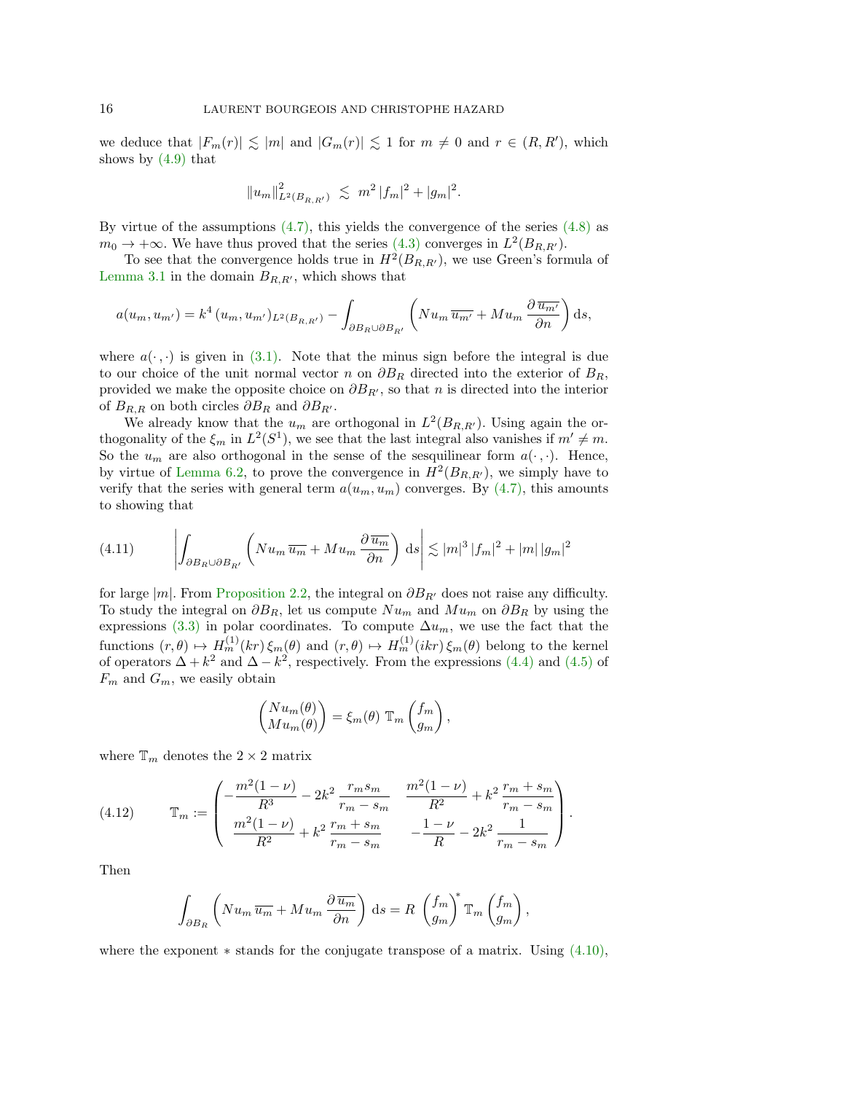we deduce that  $|F_m(r)| \lesssim |m|$  and  $|G_m(r)| \lesssim 1$  for  $m \neq 0$  and  $r \in (R, R')$ , which shows by  $(4.9)$  that

$$
||u_m||_{L^2(B_{R,R'})}^2 \leq m^2 |f_m|^2 + |g_m|^2.
$$

By virtue of the assumptions  $(4.7)$ , this yields the convergence of the series  $(4.8)$  as  $m_0 \to +\infty$ . We have thus proved that the series [\(4.3\)](#page-13-2) converges in  $L^2(B_{R,R'})$ .

To see that the convergence holds true in  $H^2(B_{R,R'})$ , we use Green's formula of [Lemma 3.1](#page-8-0) in the domain  $B_{R,R}$ , which shows that

$$
a(u_m, u_{m'}) = k^4 (u_m, u_{m'})_{L^2(B_{R,R'})} - \int_{\partial B_R \cup \partial B_{R'}} \left( N u_m \overline{u_{m'}} + M u_m \frac{\partial \overline{u_{m'}}}{\partial n} \right) ds,
$$

where  $a(\cdot, \cdot)$  is given in [\(3.1\).](#page-8-2) Note that the minus sign before the integral is due to our choice of the unit normal vector n on  $\partial B_R$  directed into the exterior of  $B_R$ , provided we make the opposite choice on  $\partial B_{R}$ , so that n is directed into the interior of  $B_{R,R}$  on both circles  $\partial B_R$  and  $\partial B_{R'}$ .

We already know that the  $u_m$  are orthogonal in  $L^2(B_{R,R})$ . Using again the orthogonality of the  $\xi_m$  in  $L^2(S^1)$ , we see that the last integral also vanishes if  $m' \neq m$ . So the  $u_m$  are also orthogonal in the sense of the sesquilinear form  $a(\cdot, \cdot)$ . Hence, by virtue of [Lemma 6.2,](#page-18-0) to prove the convergence in  $H^2(B_{R,R'})$ , we simply have to verify that the series with general term  $a(u_m, u_m)$  converges. By [\(4.7\),](#page-14-1) this amounts to showing that

<span id="page-15-0"></span>(4.11) 
$$
\left| \int_{\partial B_R \cup \partial B_{R'}} \left( N u_m \overline{u_m} + M u_m \frac{\partial \overline{u_m}}{\partial n} \right) ds \right| \lesssim |m|^3 |f_m|^2 + |m| |g_m|^2
$$

for large |m|. From [Proposition 2.2,](#page-5-3) the integral on  $\partial B_{R'}$  does not raise any difficulty. To study the integral on  $\partial B_R$ , let us compute  $Nu_m$  and  $Mu_m$  on  $\partial B_R$  by using the expressions [\(3.3\)](#page-9-0) in polar coordinates. To compute  $\Delta u_m$ , we use the fact that the functions  $(r, \theta) \mapsto H_m^{(1)}(kr) \xi_m(\theta)$  and  $(r, \theta) \mapsto H_m^{(1)}(ikr) \xi_m(\theta)$  belong to the kernel of operators  $\Delta + k^2$  and  $\Delta - k^2$ , respectively. From the expressions [\(4.4\)](#page-13-4) and [\(4.5\)](#page-13-5) of  $F_m$  and  $G_m$ , we easily obtain

$$
\begin{pmatrix}\nNu_m(\theta) \\
Mu_m(\theta)\n\end{pmatrix} = \xi_m(\theta) \mathbb{T}_m \begin{pmatrix} f_m \\ g_m \end{pmatrix},
$$

where  $\mathbb{T}_m$  denotes the  $2 \times 2$  matrix

<span id="page-15-1"></span>(4.12) 
$$
\mathbb{T}_m := \begin{pmatrix} -\frac{m^2(1-\nu)}{R^3} - 2k^2 \frac{r_m s_m}{r_m - s_m} & \frac{m^2(1-\nu)}{R^2} + k^2 \frac{r_m + s_m}{r_m - s_m} \\ \frac{m^2(1-\nu)}{R^2} + k^2 \frac{r_m + s_m}{r_m - s_m} & -\frac{1-\nu}{R} - 2k^2 \frac{1}{r_m - s_m} \end{pmatrix}.
$$

Then

$$
\int_{\partial B_R} \left( N u_m \,\overline{u_m} + M u_m \, \frac{\partial \,\overline{u_m}}{\partial n} \right) \, \mathrm{d}s = R \, \left( \frac{f_m}{g_m} \right)^* \mathbb{T}_m \left( \frac{f_m}{g_m} \right),
$$

where the exponent  $*$  stands for the conjugate transpose of a matrix. Using  $(4.10)$ ,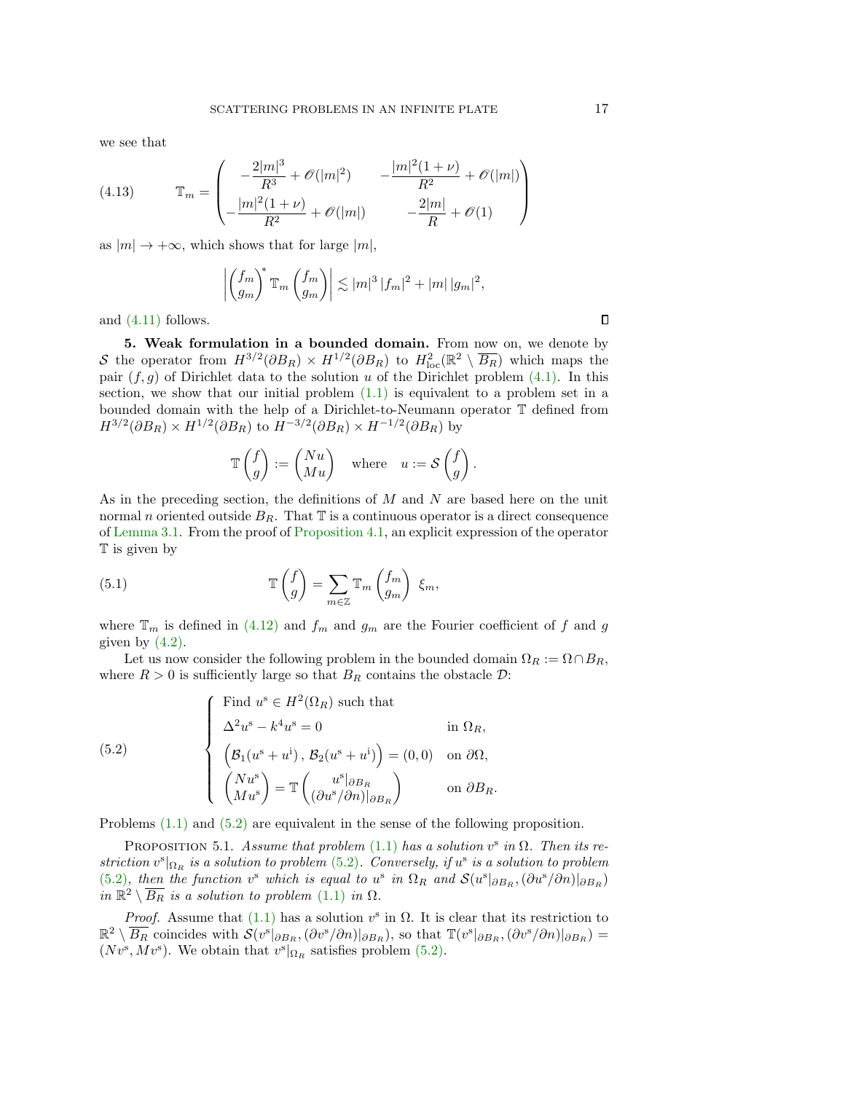we see that

<span id="page-16-2"></span>(4.13) 
$$
\mathbb{T}_m = \begin{pmatrix} -\frac{2|m|^3}{R^3} + \mathcal{O}(|m|^2) & -\frac{|m|^2(1+\nu)}{R^2} + \mathcal{O}(|m|) \\ -\frac{|m|^2(1+\nu)}{R^2} + \mathcal{O}(|m|) & -\frac{2|m|}{R} + \mathcal{O}(1) \end{pmatrix}
$$

as  $|m| \to +\infty$ , which shows that for large  $|m|$ ,

$$
\left| \left( \frac{f_m}{g_m} \right)^* \mathbb{T}_m \left( \frac{f_m}{g_m} \right) \right| \lesssim |m|^3 |f_m|^2 + |m| |g_m|^2,
$$

and [\(4.11\)](#page-15-0) follows.

5. Weak formulation in a bounded domain. From now on, we denote by S the operator from  $H^{3/2}(\partial B_R) \times H^{1/2}(\partial B_R)$  to  $H^2_{loc}(\mathbb{R}^2 \setminus \overline{B_R})$  which maps the pair  $(f, g)$  of Dirichlet data to the solution u of the Dirichlet problem  $(4.1)$ . In this section, we show that our initial problem  $(1.1)$  is equivalent to a problem set in a bounded domain with the help of a Dirichlet-to-Neumann operator T defined from  $H^{3/2}(\partial B_R) \times H^{1/2}(\partial B_R)$  to  $H^{-3/2}(\partial B_R) \times H^{-1/2}(\partial B_R)$  by

<span id="page-16-1"></span>
$$
\mathbb{T}\begin{pmatrix}f \\ g\end{pmatrix} := \begin{pmatrix}Nu \\ Mu\end{pmatrix} \quad \text{where} \quad u := \mathcal{S}\begin{pmatrix}f \\ g\end{pmatrix}.
$$

As in the preceding section, the definitions of  $M$  and  $N$  are based here on the unit normal n oriented outside  $B_R$ . That  $\mathbb T$  is a continuous operator is a direct consequence of [Lemma 3.1.](#page-8-0) From the proof of [Proposition 4.1,](#page-13-6) an explicit expression of the operator T is given by

(5.1) 
$$
\mathbb{T}\begin{pmatrix} f \\ g \end{pmatrix} = \sum_{m \in \mathbb{Z}} \mathbb{T}_m \begin{pmatrix} f_m \\ g_m \end{pmatrix} \xi_m,
$$

where  $\mathbb{T}_m$  is defined in [\(4.12\)](#page-15-1) and  $f_m$  and  $g_m$  are the Fourier coefficient of f and g given by  $(4.2)$ .

Let us now consider the following problem in the bounded domain  $\Omega_R := \Omega \cap B_R$ , where  $R > 0$  is sufficiently large so that  $B_R$  contains the obstacle  $\mathcal{D}$ :

<span id="page-16-0"></span>(5.2) 
$$
\begin{cases}\n\text{Find } u^s \in H^2(\Omega_R) \text{ such that} \\
\Delta^2 u^s - k^4 u^s = 0 \qquad \text{in } \Omega_R, \\
\left(B_1(u^s + u^i), B_2(u^s + u^i)\right) = (0, 0) \quad \text{on } \partial\Omega, \\
\left(\begin{array}{c} Nu^s \\ Mu^s\end{array}\right) = \mathbb{T}\left(\begin{array}{c} u^s|_{\partial B_R} \\ \left(\partial u^s/\partial n\right)|_{\partial B_R}\end{array}\right) \qquad \text{on } \partial B_R.\n\end{cases}
$$

Problems [\(1.1\)](#page-0-0) and [\(5.2\)](#page-16-0) are equivalent in the sense of the following proposition.

PROPOSITION 5.1. Assume that problem [\(1.1\)](#page-0-0) has a solution  $v^s$  in  $\Omega$ . Then its restriction  $v^s|_{\Omega_R}$  is a solution to problem [\(5.2\)](#page-16-0). Conversely, if  $u^s$  is a solution to problem [\(5.2\)](#page-16-0), then the function v<sup>s</sup> which is equal to u<sup>s</sup> in  $\Omega_R$  and  $\mathcal{S}(u^s|_{\partial B_R}, {\partial u^s}/{\partial n})|_{\partial B_R}$ in  $\mathbb{R}^2 \setminus \overline{B_R}$  is a solution to problem  $(1.1)$  in  $\Omega$ .

*Proof.* Assume that [\(1.1\)](#page-0-0) has a solution  $v^s$  in  $\Omega$ . It is clear that its restriction to  $\mathbb{R}^2 \setminus \overline{B_R}$  coincides with  $\mathcal{S}(v^s|_{\partial B_R}, (\partial v^s/\partial n)|_{\partial B_R})$ , so that  $\mathbb{T}(v^s|_{\partial B_R}, (\partial v^s/\partial n)|_{\partial B_R}) =$  $(Nv^s, Mv^s)$ . We obtain that  $v^s|_{\Omega_R}$  satisfies problem [\(5.2\).](#page-16-0)

 $\Box$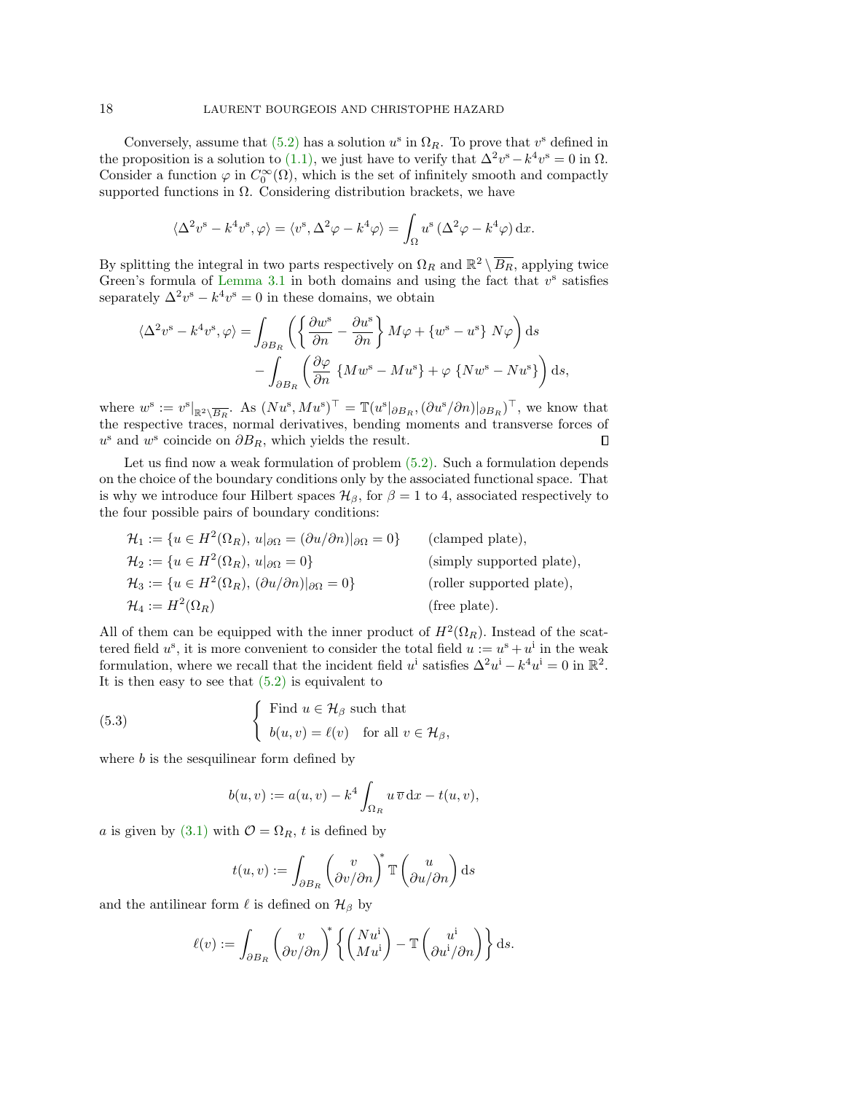Conversely, assume that  $(5.2)$  has a solution  $u^s$  in  $\Omega_R$ . To prove that  $v^s$  defined in the proposition is a solution to [\(1.1\),](#page-0-0) we just have to verify that  $\Delta^2 v^s - k^4 v^s = 0$  in  $\Omega$ . Consider a function  $\varphi$  in  $C_0^{\infty}(\Omega)$ , which is the set of infinitely smooth and compactly supported functions in  $\Omega$ . Considering distribution brackets, we have

$$
\langle \Delta^2 v^s - k^4 v^s, \varphi \rangle = \langle v^s, \Delta^2 \varphi - k^4 \varphi \rangle = \int_{\Omega} u^s (\Delta^2 \varphi - k^4 \varphi) \, dx.
$$

By splitting the integral in two parts respectively on  $\Omega_R$  and  $\mathbb{R}^2 \setminus \overline{B_R}$ , applying twice Green's formula of Lemma  $3.1$  in both domains and using the fact that  $v^s$  satisfies separately  $\Delta^2 v^s - k^4 v^s = 0$  in these domains, we obtain

$$
\langle \Delta^2 v^s - k^4 v^s, \varphi \rangle = \int_{\partial B_R} \left( \left\{ \frac{\partial w^s}{\partial n} - \frac{\partial u^s}{\partial n} \right\} M \varphi + \left\{ w^s - u^s \right\} N \varphi \right) ds - \int_{\partial B_R} \left( \frac{\partial \varphi}{\partial n} \left\{ M w^s - M u^s \right\} + \varphi \left\{ N w^s - N u^s \right\} \right) ds,
$$

where  $w^{\rm s} := v^{\rm s}|_{\mathbb{R}^2 \setminus \overline{B_R}}$ . As  $(Nu^{\rm s}, M u^{\rm s})^{\top} = \mathbb{T}(u^{\rm s} |_{\partial B_R}, (\partial u^{\rm s} / \partial n)|_{\partial B_R})^{\top}$ , we know that the respective traces, normal derivatives, bending moments and transverse forces of  $u^s$  and  $w^s$  coincide on  $\partial B_R$ , which yields the result.  $\Box$ 

Let us find now a weak formulation of problem [\(5.2\).](#page-16-0) Such a formulation depends on the choice of the boundary conditions only by the associated functional space. That is why we introduce four Hilbert spaces  $\mathcal{H}_{\beta}$ , for  $\beta = 1$  to 4, associated respectively to the four possible pairs of boundary conditions:

$$
\mathcal{H}_1 := \{ u \in H^2(\Omega_R), u|_{\partial\Omega} = (\partial u/\partial n)|_{\partial\Omega} = 0 \}
$$
 (clamped plate),  
\n
$$
\mathcal{H}_2 := \{ u \in H^2(\Omega_R), u|_{\partial\Omega} = 0 \}
$$
 (simpled plate),  
\n
$$
\mathcal{H}_3 := \{ u \in H^2(\Omega_R), (\partial u/\partial n)|_{\partial\Omega} = 0 \}
$$
 (roller supported plate),  
\n
$$
\mathcal{H}_4 := H^2(\Omega_R)
$$
 (free plate).  
\n  
\n
$$
(free plate).
$$

All of them can be equipped with the inner product of  $H^2(\Omega_R)$ . Instead of the scattered field  $u^s$ , it is more convenient to consider the total field  $u := u^s + u^i$  in the weak formulation, where we recall that the incident field  $u^i$  satisfies  $\Delta^2 u^i - k^4 u^i = 0$  in  $\mathbb{R}^2$ . It is then easy to see that  $(5.2)$  is equivalent to

(5.3) 
$$
\begin{cases} \text{Find } u \in \mathcal{H}_{\beta} \text{ such that} \\ b(u,v) = \ell(v) \text{ for all } v \in \mathcal{H}_{\beta}, \end{cases}
$$

where  $b$  is the sesquilinear form defined by

<span id="page-17-0"></span>
$$
b(u,v) := a(u,v) - k^4 \int_{\Omega_R} u \, \overline{v} \, dx - t(u,v),
$$

a is given by [\(3.1\)](#page-8-2) with  $\mathcal{O} = \Omega_R$ , t is defined by

$$
t(u, v) := \int_{\partial B_R} \begin{pmatrix} v \\ \partial v/\partial n \end{pmatrix}^* \mathbb{T} \begin{pmatrix} u \\ \partial u/\partial n \end{pmatrix} ds
$$

and the antilinear form  $\ell$  is defined on  $\mathcal{H}_{\beta}$  by

$$
\ell(v) := \int_{\partial B_R} \begin{pmatrix} v \\ \partial v/\partial n \end{pmatrix}^* \left\{ \begin{pmatrix} N u^{\mathbf{i}} \\ M u^{\mathbf{i}} \end{pmatrix} - \mathbb{T} \begin{pmatrix} u^{\mathbf{i}} \\ \partial u^{\mathbf{i}}/\partial n \end{pmatrix} \right\} ds.
$$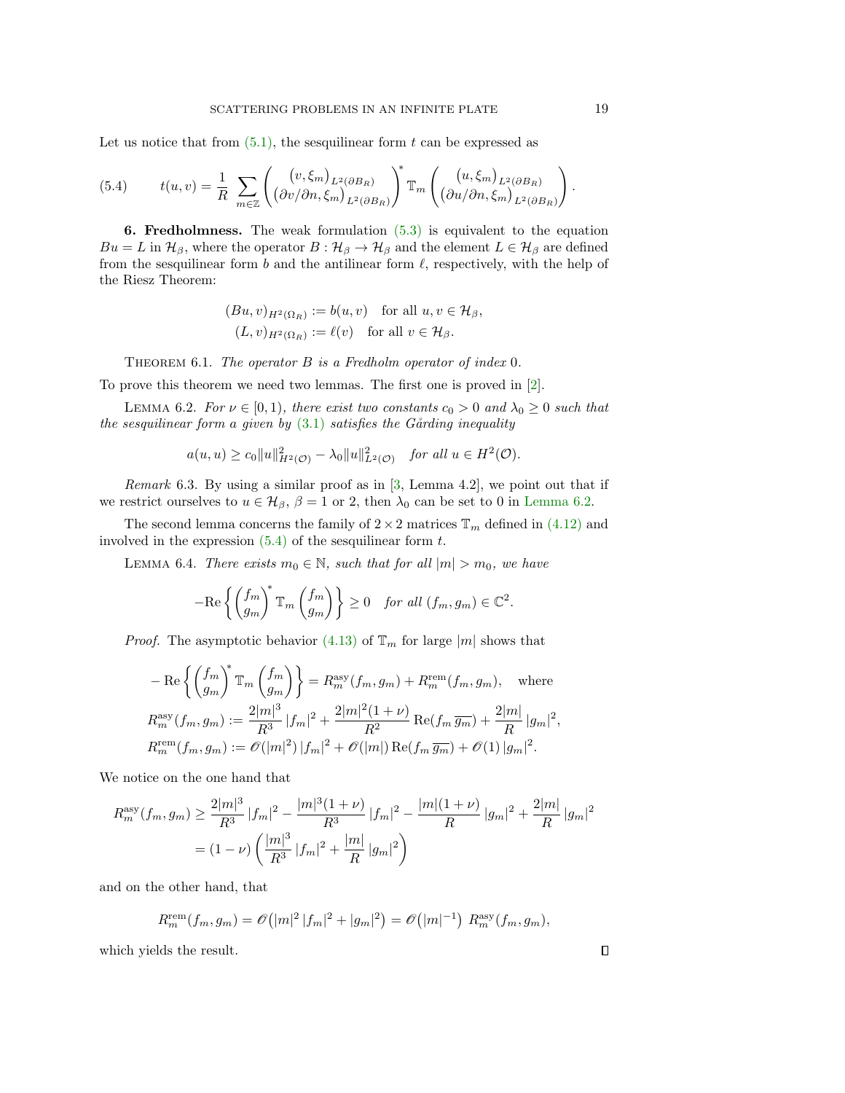Let us notice that from  $(5.1)$ , the sesquilinear form t can be expressed as

<span id="page-18-1"></span>(5.4) 
$$
t(u,v) = \frac{1}{R} \sum_{m \in \mathbb{Z}} \left( \frac{(v, \xi_m)_{L^2(\partial B_R)}}{(\partial v/\partial n, \xi_m)_{L^2(\partial B_R)}} \right)^* \mathbb{T}_m \left( \frac{(u, \xi_m)_{L^2(\partial B_R)}}{(\partial u/\partial n, \xi_m)_{L^2(\partial B_R)}} \right)
$$

**6. Fredholmness.** The weak formulation  $(5.3)$  is equivalent to the equation  $Bu = L$  in  $\mathcal{H}_{\beta}$ , where the operator  $B: \mathcal{H}_{\beta} \to \mathcal{H}_{\beta}$  and the element  $L \in \mathcal{H}_{\beta}$  are defined from the sesquilinear form  $b$  and the antilinear form  $\ell$ , respectively, with the help of the Riesz Theorem:

$$
(Bu, v)_{H^2(\Omega_R)} := b(u, v) \text{ for all } u, v \in \mathcal{H}_{\beta},
$$
  

$$
(L, v)_{H^2(\Omega_R)} := \ell(v) \text{ for all } v \in \mathcal{H}_{\beta}.
$$

<span id="page-18-2"></span>THEOREM 6.1. The operator  $B$  is a Fredholm operator of index 0.

To prove this theorem we need two lemmas. The first one is proved in [\[2\]](#page-19-10).

LEMMA 6.2. For  $\nu \in [0,1)$ , there exist two constants  $c_0 > 0$  and  $\lambda_0 \geq 0$  such that the sesquilinear form a given by  $(3.1)$  satisfies the Gårding inequality

$$
a(u, u) \ge c_0 \|u\|_{H^2(\mathcal{O})}^2 - \lambda_0 \|u\|_{L^2(\mathcal{O})}^2 \quad \text{for all } u \in H^2(\mathcal{O}).
$$

*Remark* 6.3. By using a similar proof as in  $[3, \text{ Lemma } 4.2]$  $[3, \text{ Lemma } 4.2]$ , we point out that if we restrict ourselves to  $u \in \mathcal{H}_{\beta}$ ,  $\beta = 1$  or 2, then  $\lambda_0$  can be set to 0 in [Lemma 6.2.](#page-18-0)

The second lemma concerns the family of  $2 \times 2$  matrices  $\mathbb{T}_m$  defined in [\(4.12\)](#page-15-1) and involved in the expression  $(5.4)$  of the sesquilinear form t.

LEMMA 6.4. There exists  $m_0 \in \mathbb{N}$ , such that for all  $|m| > m_0$ , we have

<span id="page-18-3"></span>
$$
-\mathrm{Re}\left\{ \begin{pmatrix} f_m \\ g_m \end{pmatrix}^* \mathbb{T}_m \begin{pmatrix} f_m \\ g_m \end{pmatrix} \right\} \geq 0 \quad \text{for all } (f_m, g_m) \in \mathbb{C}^2.
$$

*Proof.* The asymptotic behavior [\(4.13\)](#page-16-2) of  $\mathbb{T}_m$  for large |m| shows that

$$
- \operatorname{Re} \left\{ \left( \frac{f_m}{g_m} \right)^* \mathbb{T}_m \left( \frac{f_m}{g_m} \right) \right\} = R_m^{\operatorname{asy}}(f_m, g_m) + R_m^{\operatorname{rem}}(f_m, g_m), \quad \text{where}
$$
  

$$
R_m^{\operatorname{asy}}(f_m, g_m) := \frac{2|m|^3}{R^3} |f_m|^2 + \frac{2|m|^2(1+\nu)}{R^2} \operatorname{Re}(f_m \overline{g_m}) + \frac{2|m|}{R} |g_m|^2,
$$
  

$$
R_m^{\operatorname{rem}}(f_m, g_m) := \mathcal{O}(|m|^2) |f_m|^2 + \mathcal{O}(|m|) \operatorname{Re}(f_m \overline{g_m}) + \mathcal{O}(1) |g_m|^2.
$$

We notice on the one hand that

$$
R_m^{\text{asy}}(f_m, g_m) \ge \frac{2|m|^3}{R^3} |f_m|^2 - \frac{|m|^3(1+\nu)}{R^3} |f_m|^2 - \frac{|m|(1+\nu)}{R} |g_m|^2 + \frac{2|m|}{R} |g_m|^2
$$
  
=  $(1-\nu) \left( \frac{|m|^3}{R^3} |f_m|^2 + \frac{|m|}{R} |g_m|^2 \right)$ 

and on the other hand, that

$$
R_m^{\text{rem}}(f_m, g_m) = \mathscr{O}\big(|m|^2 |f_m|^2 + |g_m|^2\big) = \mathscr{O}\big(|m|^{-1}\big) R_m^{\text{asy}}(f_m, g_m),
$$

which yields the result.

<span id="page-18-0"></span>.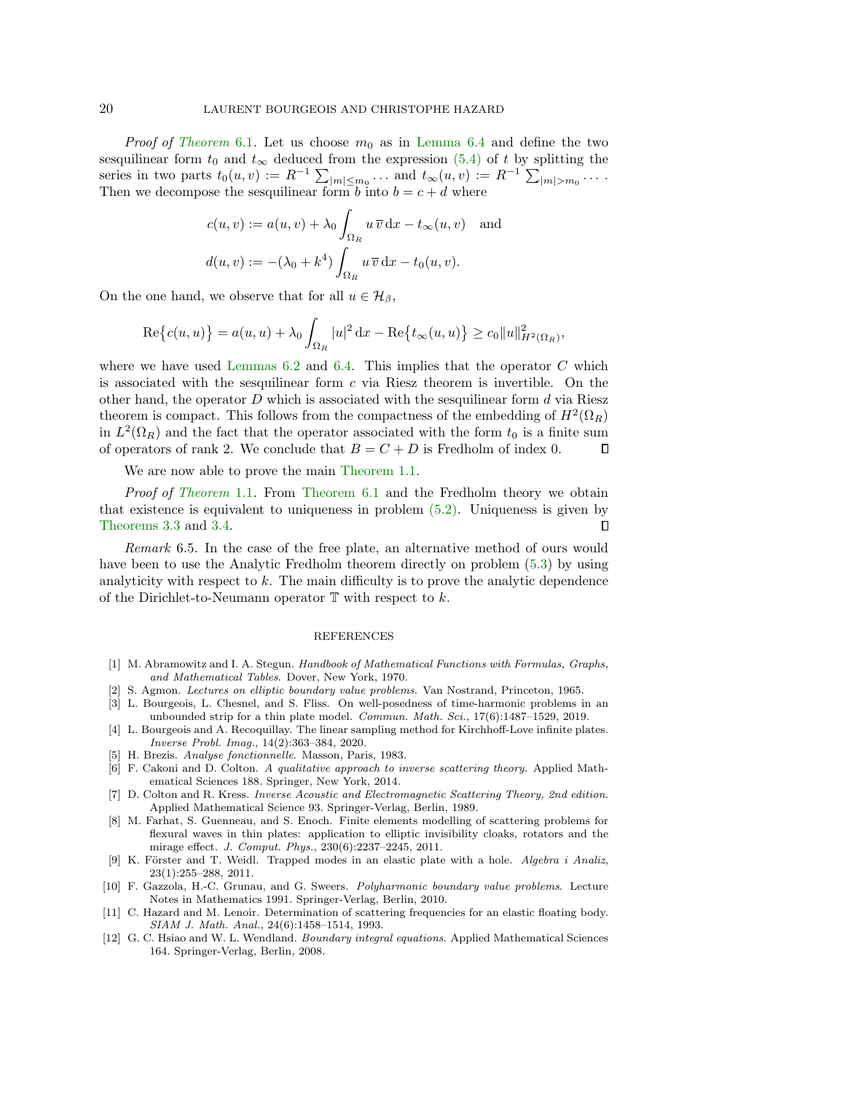*Proof of [Theorem](#page-18-2)* 6.1. Let us choose  $m_0$  as in [Lemma 6.4](#page-18-3) and define the two sesquilinear form  $t_0$  and  $t_{\infty}$  deduced from the expression [\(5.4\)](#page-18-1) of t by splitting the series in two parts  $t_0(u, v) := R^{-1} \sum_{|m| \leq m_0} \ldots$  and  $t_\infty(u, v) := R^{-1} \sum_{|m| > m_0} \ldots$ Then we decompose the sesquilinear form b into  $b = c + d$  where

$$
c(u, v) := a(u, v) + \lambda_0 \int_{\Omega_R} u \, \overline{v} \, dx - t_{\infty}(u, v) \quad \text{and}
$$

$$
d(u, v) := -(\lambda_0 + k^4) \int_{\Omega_R} u \, \overline{v} \, dx - t_0(u, v).
$$

On the one hand, we observe that for all  $u \in \mathcal{H}_{\beta}$ ,

$$
\mathrm{Re}\big\{c(u, u)\big\} = a(u, u) + \lambda_0 \int_{\Omega_R} |u|^2 \, \mathrm{d}x - \mathrm{Re}\big\{t_\infty(u, u)\big\} \ge c_0 \|u\|_{H^2(\Omega_R)}^2,
$$

where we have used Lemmas  $6.2$  and  $6.4$ . This implies that the operator C which is associated with the sesquilinear form  $c$  via Riesz theorem is invertible. On the other hand, the operator  $D$  which is associated with the sesquilinear form  $d$  via Riesz theorem is compact. This follows from the compactness of the embedding of  $H^2(\Omega_R)$ in  $L^2(\Omega_R)$  and the fact that the operator associated with the form  $t_0$  is a finite sum of operators of rank 2. We conclude that  $B = C + D$  is Fredholm of index 0.  $\Box$ 

We are now able to prove the main [Theorem 1.1.](#page-1-0)

Proof of [Theorem](#page-1-0) 1.1. From [Theorem 6.1](#page-18-2) and the Fredholm theory we obtain that existence is equivalent to uniqueness in problem [\(5.2\).](#page-16-0) Uniqueness is given by [Theorems 3.3](#page-10-1) and [3.4.](#page-10-2)  $\Box$ 

Remark 6.5. In the case of the free plate, an alternative method of ours would have been to use the Analytic Fredholm theorem directly on problem [\(5.3\)](#page-17-0) by using analyticity with respect to k. The main difficulty is to prove the analytic dependence of the Dirichlet-to-Neumann operator  $\mathbb T$  with respect to  $k$ .

## REFERENCES

- <span id="page-19-6"></span>[1] M. Abramowitz and I. A. Stegun. Handbook of Mathematical Functions with Formulas, Graphs, and Mathematical Tables. Dover, New York, 1970.
- <span id="page-19-10"></span>[2] S. Agmon. Lectures on elliptic boundary value problems. Van Nostrand, Princeton, 1965.
- <span id="page-19-11"></span>[3] L. Bourgeois, L. Chesnel, and S. Fliss. On well-posedness of time-harmonic problems in an unbounded strip for a thin plate model. *Commun. Math. Sci.*, 17(6):1487–1529, 2019.
- <span id="page-19-5"></span>[4] L. Bourgeois and A. Recoquillay. The linear sampling method for Kirchhoff-Love infinite plates. Inverse Probl. Imag., 14(2):363–384, 2020.
- <span id="page-19-9"></span>[5] H. Brezis. Analyse fonctionnelle. Masson, Paris, 1983.
- <span id="page-19-8"></span>[6] F. Cakoni and D. Colton. A qualitative approach to inverse scattering theory. Applied Mathematical Sciences 188. Springer, New York, 2014.
- <span id="page-19-2"></span>[7] D. Colton and R. Kress. Inverse Acoustic and Electromagnetic Scattering Theory, 2nd edition. Applied Mathematical Science 93. Springer-Verlag, Berlin, 1989.
- <span id="page-19-4"></span>[8] M. Farhat, S. Guenneau, and S. Enoch. Finite elements modelling of scattering problems for flexural waves in thin plates: application to elliptic invisibility cloaks, rotators and the mirage effect. J. Comput. Phys., 230(6):2237–2245, 2011.
- <span id="page-19-3"></span>[9] K. Förster and T. Weidl. Trapped modes in an elastic plate with a hole. Algebra i Analiz, 23(1):255–288, 2011.
- <span id="page-19-1"></span>[10] F. Gazzola, H.-C. Grunau, and G. Sweers. Polyharmonic boundary value problems. Lecture Notes in Mathematics 1991. Springer-Verlag, Berlin, 2010.
- <span id="page-19-7"></span>[11] C. Hazard and M. Lenoir. Determination of scattering frequencies for an elastic floating body. SIAM J. Math. Anal., 24(6):1458–1514, 1993.
- <span id="page-19-0"></span>[12] G. C. Hsiao and W. L. Wendland. Boundary integral equations. Applied Mathematical Sciences 164. Springer-Verlag, Berlin, 2008.